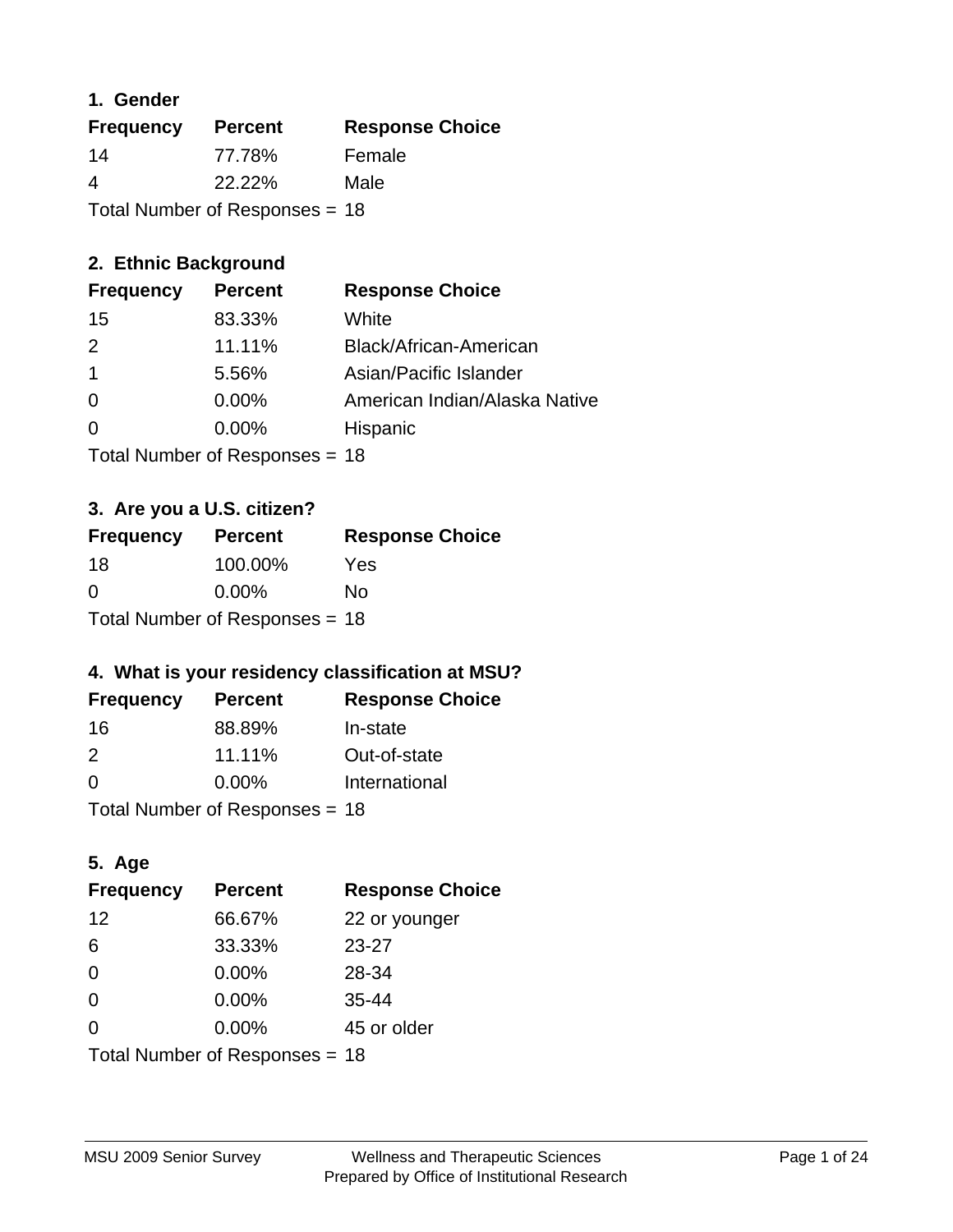## **1. Gender**

| <b>Frequency</b>                 | <b>Percent</b> | <b>Response Choice</b> |
|----------------------------------|----------------|------------------------|
| 14                               | 77.78%         | Female                 |
| 4                                | 22.22%         | Male                   |
| Total Number of Responses = $18$ |                |                        |

# **2. Ethnic Background**

| <b>Frequency</b> | <b>Percent</b> | <b>Response Choice</b>        |
|------------------|----------------|-------------------------------|
| 15               | 83.33%         | White                         |
| $\mathcal{P}$    | 11.11%         | Black/African-American        |
|                  | 5.56%          | Asian/Pacific Islander        |
| $\Omega$         | 0.00%          | American Indian/Alaska Native |
|                  | $0.00\%$       | Hispanic                      |
|                  |                |                               |

Total Number of Responses = 18

# **3. Are you a U.S. citizen?**

| <b>Frequency</b>               | <b>Percent</b> | <b>Response Choice</b> |
|--------------------------------|----------------|------------------------|
| -18                            | 100.00%        | Yes                    |
| $\Omega$                       | $0.00\%$       | Nο                     |
| Total Number of Responses = 18 |                |                        |

# **4. What is your residency classification at MSU?**

| <b>Frequency</b> | <b>Percent</b> | <b>Response Choice</b> |
|------------------|----------------|------------------------|
| -16              | 88.89%         | In-state               |
| $\mathcal{P}$    | 11.11%         | Out-of-state           |
| $\Omega$         | $0.00\%$       | International          |
|                  |                |                        |

Total Number of Responses = 18

# **5. Age**

| <b>Frequency</b>               | <b>Percent</b> | <b>Response Choice</b> |
|--------------------------------|----------------|------------------------|
| 12                             | 66.67%         | 22 or younger          |
| 6                              | 33.33%         | $23 - 27$              |
| $\Omega$                       | 0.00%          | 28-34                  |
| $\Omega$                       | 0.00%          | $35 - 44$              |
| 0                              | 0.00%          | 45 or older            |
| Total Number of Responses = 18 |                |                        |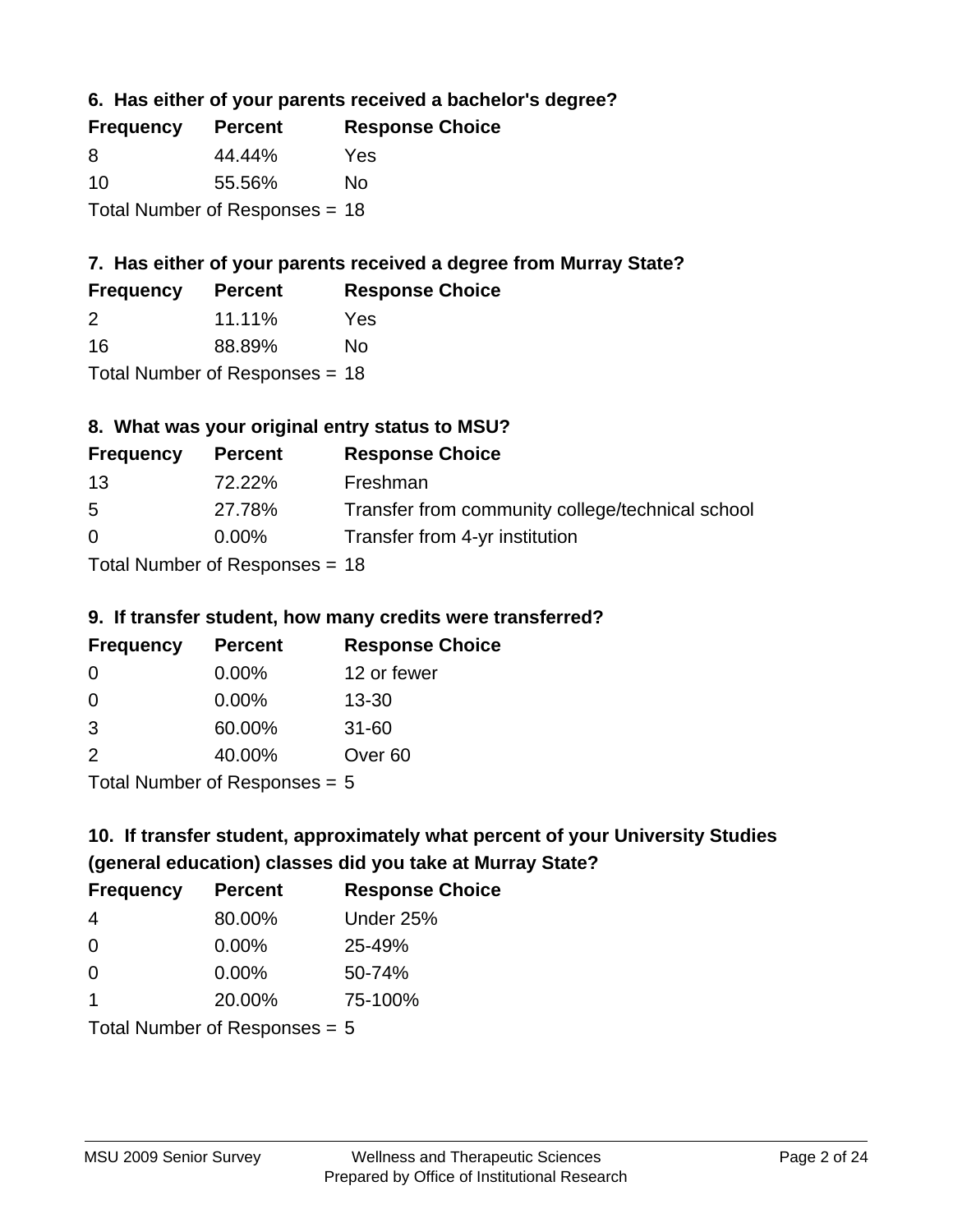**6. Has either of your parents received a bachelor's degree?**

| <b>Frequency</b>               | <b>Percent</b> | <b>Response Choice</b> |
|--------------------------------|----------------|------------------------|
| 8                              | 44.44%         | Yes                    |
| 10                             | 55.56%         | Nο                     |
| Total Number of Responses = 18 |                |                        |

# **7. Has either of your parents received a degree from Murray State?**

| <b>Frequency</b> | <b>Percent</b> | <b>Response Choice</b> |
|------------------|----------------|------------------------|
| -2               | $11.11\%$      | Yes                    |
| 16               | 88.89%         | No.                    |

Total Number of Responses = 18

# **8. What was your original entry status to MSU?**

| <b>Frequency</b> | <b>Percent</b>                   | <b>Response Choice</b>                           |
|------------------|----------------------------------|--------------------------------------------------|
| 13               | 72.22%                           | Freshman                                         |
| 5                | 27.78%                           | Transfer from community college/technical school |
| $\Omega$         | $0.00\%$                         | Transfer from 4-yr institution                   |
|                  | $Total Number of DoEROR 20 - 40$ |                                                  |

Total Number of Responses = 18

### **9. If transfer student, how many credits were transferred?**

| <b>Frequency</b>            | <b>Percent</b> | <b>Response Choice</b> |
|-----------------------------|----------------|------------------------|
| -0                          | $0.00\%$       | 12 or fewer            |
| 0                           | $0.00\%$       | $13 - 30$              |
| 3                           | 60.00%         | $31 - 60$              |
| 2                           | 40.00%         | Over <sub>60</sub>     |
| Total Number of Desponses E |                |                        |

I otal Number of Responses  $= 5$ 

# **10. If transfer student, approximately what percent of your University Studies (general education) classes did you take at Murray State?**

| <b>Frequency</b>                | <b>Percent</b> | <b>Response Choice</b> |
|---------------------------------|----------------|------------------------|
| 4                               | 80.00%         | Under 25%              |
| $\Omega$                        | $0.00\%$       | 25-49%                 |
| $\Omega$                        | $0.00\%$       | 50-74%                 |
| 1                               | 20.00%         | 75-100%                |
| Total Number of Responses $= 5$ |                |                        |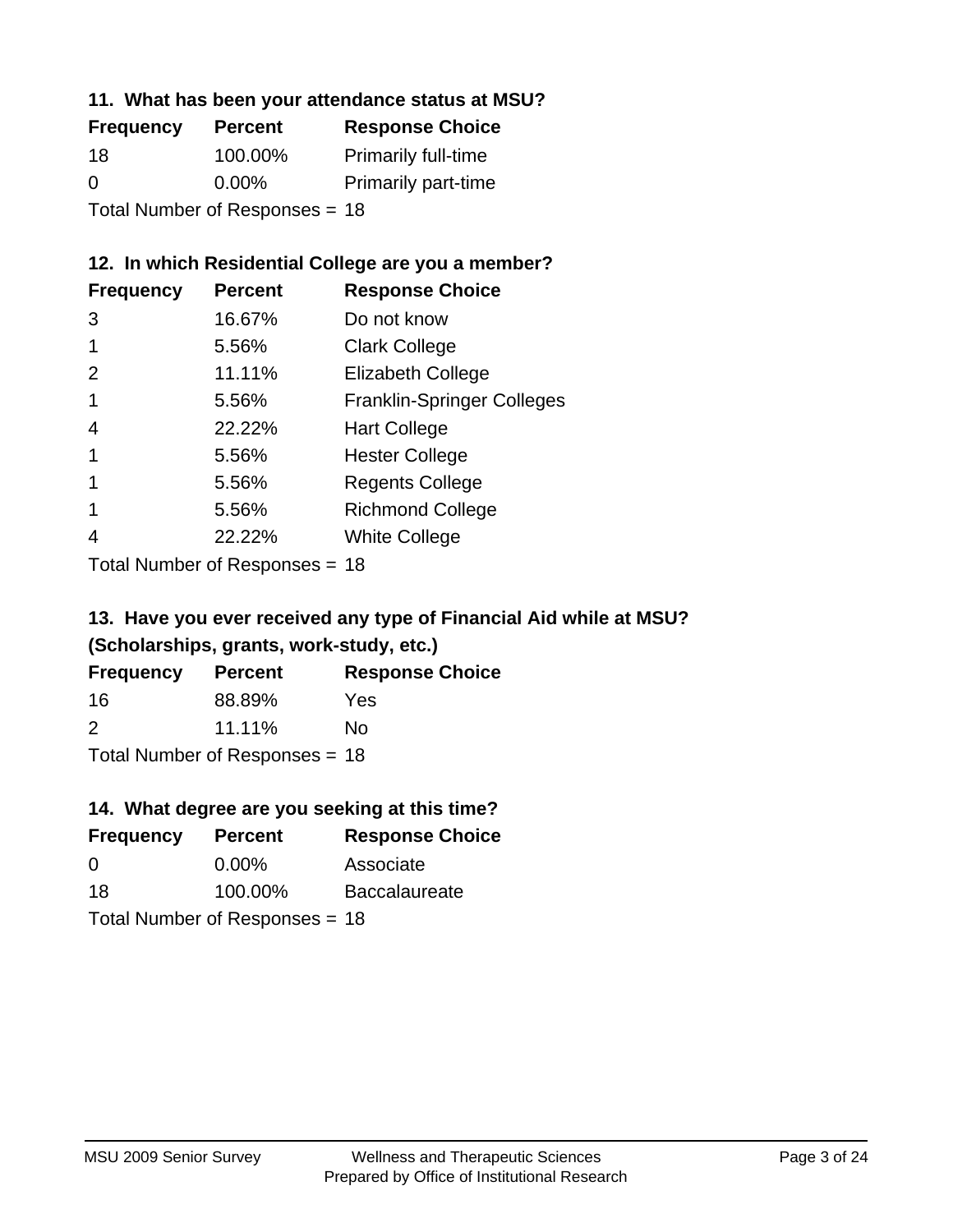### **11. What has been your attendance status at MSU?**

| <b>Frequency</b>               | <b>Percent</b> | <b>Response Choice</b>     |
|--------------------------------|----------------|----------------------------|
| 18                             | 100.00%        | <b>Primarily full-time</b> |
| 0                              | $0.00\%$       | <b>Primarily part-time</b> |
| Total Number of Responses = 18 |                |                            |

# **12. In which Residential College are you a member?**

| <b>Percent</b> | <b>Response Choice</b>            |
|----------------|-----------------------------------|
| 16.67%         | Do not know                       |
| 5.56%          | <b>Clark College</b>              |
| 11.11%         | <b>Elizabeth College</b>          |
| 5.56%          | <b>Franklin-Springer Colleges</b> |
| 22.22%         | <b>Hart College</b>               |
| 5.56%          | <b>Hester College</b>             |
| 5.56%          | <b>Regents College</b>            |
| 5.56%          | <b>Richmond College</b>           |
| 22.22%         | <b>White College</b>              |
|                |                                   |

Total Number of Responses = 18

## **13. Have you ever received any type of Financial Aid while at MSU? (Scholarships, grants, work-study, etc.)**

| <b>Frequency</b> | <b>Percent</b>            | <b>Response Choice</b> |
|------------------|---------------------------|------------------------|
| 16               | 88.89%                    | Yes                    |
| 2                | 11.11%                    | No                     |
|                  | Total Number of Deepensee |                        |

Total Number of Responses = 18

# **14. What degree are you seeking at this time?**

| <b>Frequency</b> | <b>Percent</b>                 | <b>Response Choice</b> |
|------------------|--------------------------------|------------------------|
| $\Omega$         | $0.00\%$                       | Associate              |
| 18               | 100.00%                        | <b>Baccalaureate</b>   |
|                  | Total Number of Responses = 18 |                        |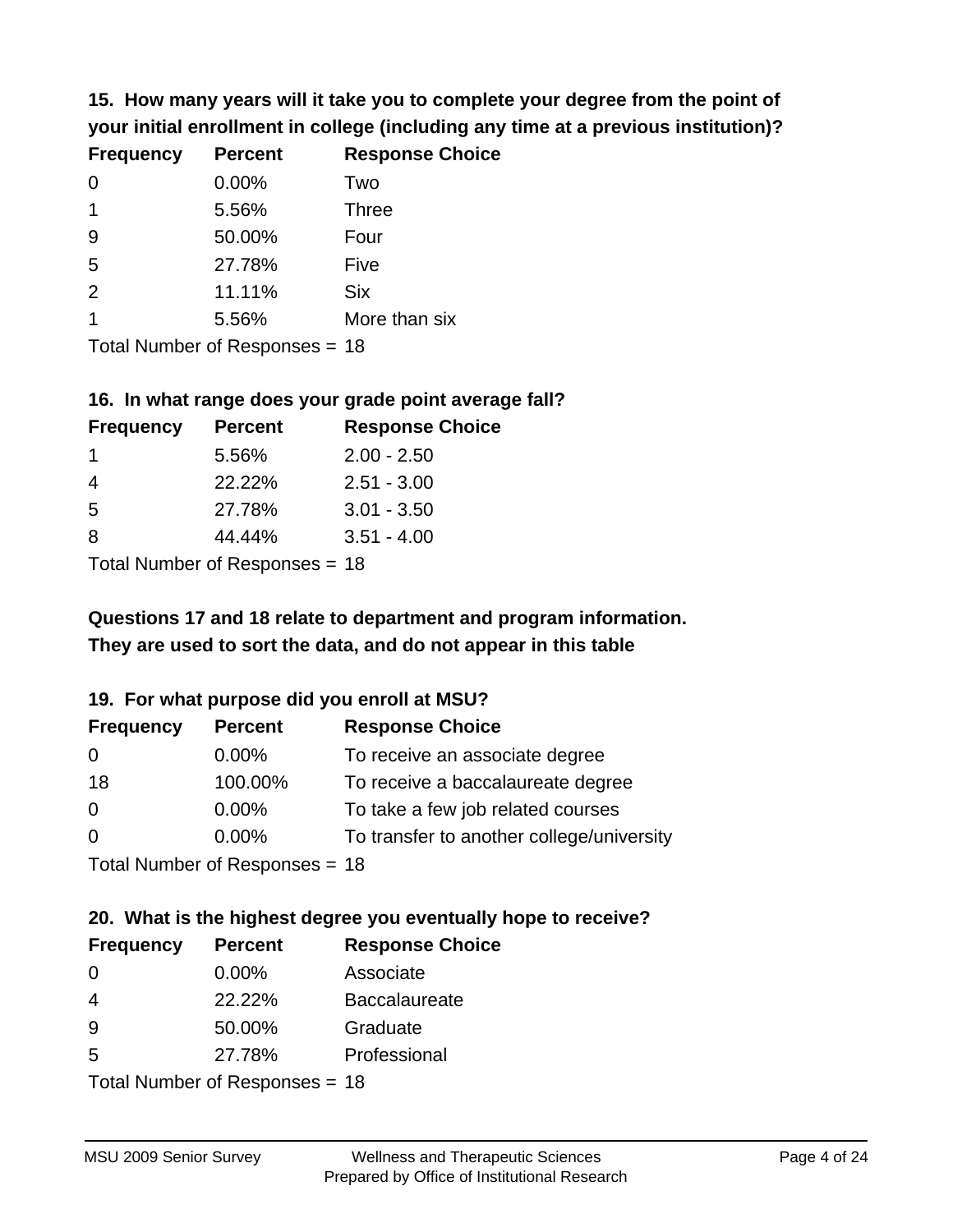**15. How many years will it take you to complete your degree from the point of your initial enrollment in college (including any time at a previous institution)?**

| <b>Frequency</b> | <b>Percent</b> | <b>Response Choice</b> |
|------------------|----------------|------------------------|
| $\Omega$         | 0.00%          | Two                    |
| 1                | 5.56%          | <b>Three</b>           |
| 9                | 50.00%         | Four                   |
| 5                | 27.78%         | Five                   |
| 2                | 11.11%         | <b>Six</b>             |
|                  | 5.56%          | More than six          |
|                  |                |                        |

Total Number of Responses = 18

#### **16. In what range does your grade point average fall?**

| <b>Frequency</b> | <b>Percent</b> | <b>Response Choice</b> |
|------------------|----------------|------------------------|
|                  | 5.56%          | $2.00 - 2.50$          |
|                  | 22.22%         | $2.51 - 3.00$          |
| -5               | 27.78%         | $3.01 - 3.50$          |
| 8                | 44.44%         | $3.51 - 4.00$          |
|                  |                |                        |

Total Number of Responses = 18

# **They are used to sort the data, and do not appear in this table Questions 17 and 18 relate to department and program information.**

### **19. For what purpose did you enroll at MSU?**

| <b>Frequency</b> | <b>Percent</b>                  | <b>Response Choice</b>                    |
|------------------|---------------------------------|-------------------------------------------|
| 0                | $0.00\%$                        | To receive an associate degree            |
| 18               | 100.00%                         | To receive a baccalaureate degree         |
| $\overline{0}$   | $0.00\%$                        | To take a few job related courses         |
| $\Omega$         | 0.00%                           | To transfer to another college/university |
|                  | Total Number of Reconnege $-18$ |                                           |

Total Number of Responses = 18

# **20. What is the highest degree you eventually hope to receive?**

| <b>Frequency</b> | <b>Percent</b>             | <b>Response Choice</b> |
|------------------|----------------------------|------------------------|
| $\Omega$         | $0.00\%$                   | Associate              |
| 4                | 22.22%                     | <b>Baccalaureate</b>   |
| 9                | 50.00%                     | Graduate               |
| 5                | 27.78%                     | Professional           |
|                  | Total Number of Deepersoon |                        |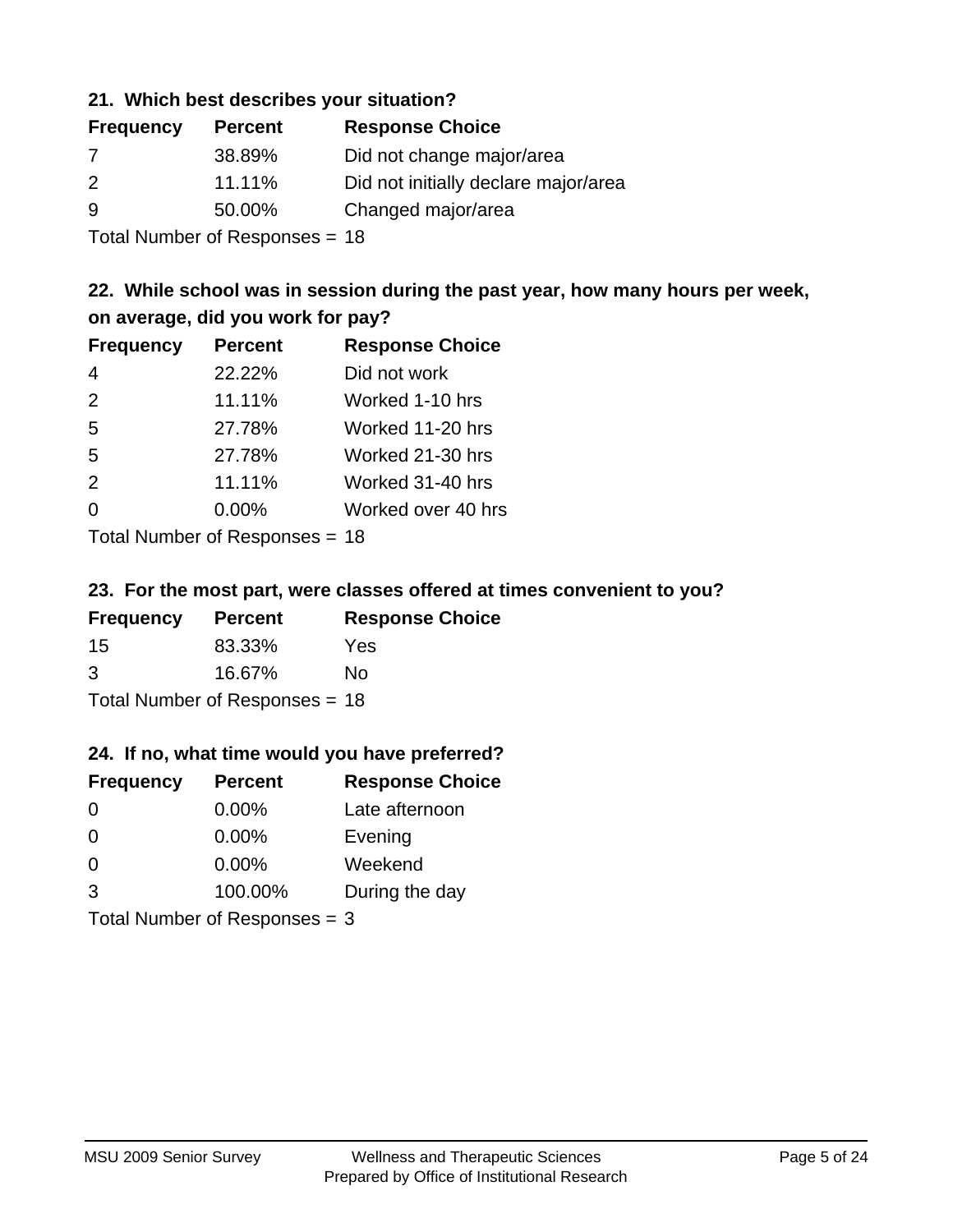## **21. Which best describes your situation?**

| <b>Frequency</b> | <b>Percent</b> | <b>Response Choice</b>               |
|------------------|----------------|--------------------------------------|
| $\prime$         | 38.89%         | Did not change major/area            |
| $\mathcal{P}$    | 11.11%         | Did not initially declare major/area |
| 9                | 50.00%         | Changed major/area                   |
|                  |                |                                      |

Total Number of Responses = 18

# **22. While school was in session during the past year, how many hours per week, on average, did you work for pay?**

| <b>Frequency</b> | <b>Percent</b> | <b>Response Choice</b> |
|------------------|----------------|------------------------|
| $\overline{4}$   | 22.22%         | Did not work           |
| 2                | 11.11%         | Worked 1-10 hrs        |
| 5                | 27.78%         | Worked 11-20 hrs       |
| 5                | 27.78%         | Worked 21-30 hrs       |
| 2                | 11.11%         | Worked 31-40 hrs       |
| $\Omega$         | 0.00%          | Worked over 40 hrs     |
|                  |                |                        |

Total Number of Responses = 18

### **23. For the most part, were classes offered at times convenient to you?**

| <b>Frequency</b>                 | <b>Percent</b> | <b>Response Choice</b> |  |
|----------------------------------|----------------|------------------------|--|
| -15                              | 83.33%         | Yes                    |  |
| 3                                | 16.67%         | No.                    |  |
| Total Number of Responses = $18$ |                |                        |  |

### **24. If no, what time would you have preferred?**

| <b>Frequency</b> | <b>Percent</b>                  | <b>Response Choice</b> |
|------------------|---------------------------------|------------------------|
| $\Omega$         | $0.00\%$                        | Late afternoon         |
| $\Omega$         | $0.00\%$                        | Evening                |
| 0                | $0.00\%$                        | Weekend                |
| 3                | 100.00%                         | During the day         |
|                  | Total Number of Responses = $3$ |                        |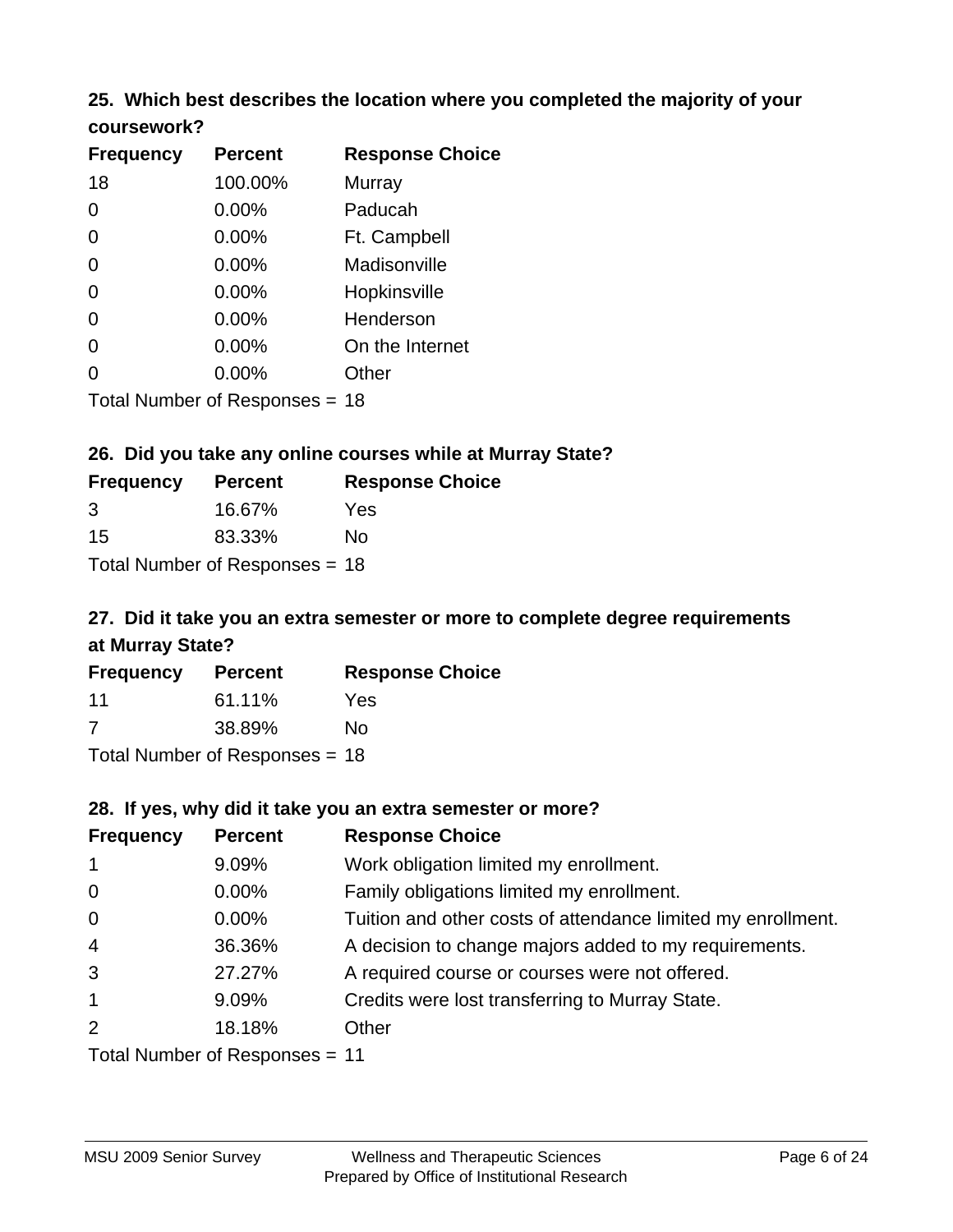# **25. Which best describes the location where you completed the majority of your**

| coursework? |
|-------------|
|-------------|

| <b>Frequency</b> | <b>Percent</b>                 | <b>Response Choice</b> |
|------------------|--------------------------------|------------------------|
| 18               | 100.00%                        | Murray                 |
| 0                | 0.00%                          | Paducah                |
| 0                | 0.00%                          | Ft. Campbell           |
| $\overline{0}$   | 0.00%                          | Madisonville           |
| 0                | 0.00%                          | Hopkinsville           |
| 0                | $0.00\%$                       | Henderson              |
| 0                | 0.00%                          | On the Internet        |
| 0                | 0.00%                          | Other                  |
|                  | Total Number of Responses = 18 |                        |

# **26. Did you take any online courses while at Murray State?**

| <b>Frequency</b> | <b>Percent</b>                 | <b>Response Choice</b> |
|------------------|--------------------------------|------------------------|
| 3                | 16.67%                         | Yes                    |
| 15               | 83.33%                         | Nο                     |
|                  | Total Number of Responses = 18 |                        |

# **27. Did it take you an extra semester or more to complete degree requirements at Murray State?**

| <b>Frequency</b> | <b>Percent</b>                   | <b>Response Choice</b> |
|------------------|----------------------------------|------------------------|
| 11               | 61.11%                           | Yes                    |
| 7                | 38.89%                           | No                     |
|                  | Total Number of Responses = $18$ |                        |

| 28. If yes, why did it take you an extra semester or more? |                                   |                                                              |  |
|------------------------------------------------------------|-----------------------------------|--------------------------------------------------------------|--|
| <b>Frequency</b>                                           | <b>Percent</b>                    | <b>Response Choice</b>                                       |  |
| $\mathbf{1}$                                               | 9.09%                             | Work obligation limited my enrollment.                       |  |
| $\mathbf 0$                                                | $0.00\%$                          | Family obligations limited my enrollment.                    |  |
| $\mathbf 0$                                                | $0.00\%$                          | Tuition and other costs of attendance limited my enrollment. |  |
| $\overline{4}$                                             | 36.36%                            | A decision to change majors added to my requirements.        |  |
| 3                                                          | 27.27%                            | A required course or courses were not offered.               |  |
| $\mathbf{1}$                                               | 9.09%                             | Credits were lost transferring to Murray State.              |  |
| $\overline{2}$                                             | 18.18%                            | Other                                                        |  |
|                                                            | $Total$ Number of Responses $-11$ |                                                              |  |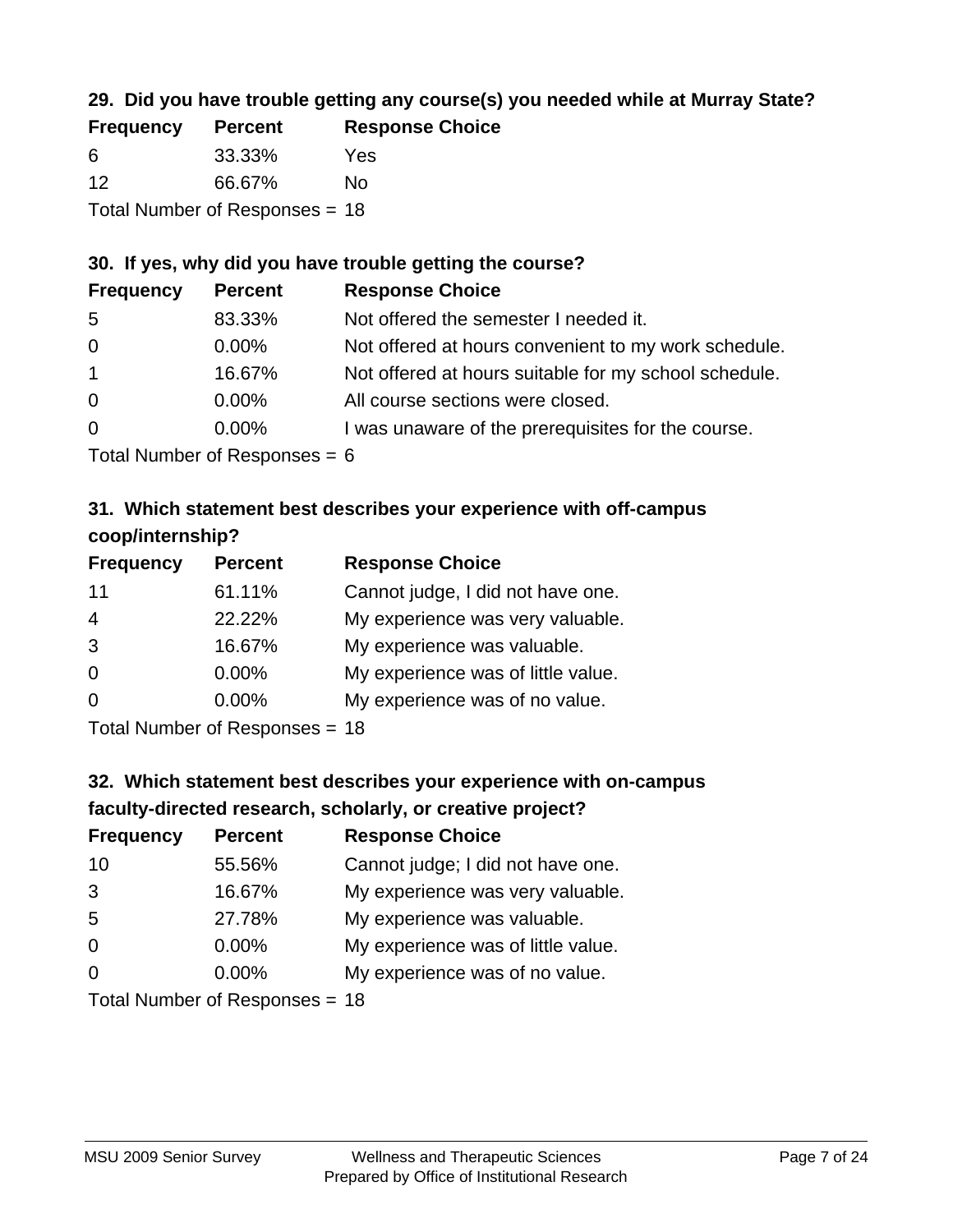# **29. Did you have trouble getting any course(s) you needed while at Murray State?**

| <b>Frequency</b>               | <b>Percent</b> | <b>Response Choice</b> |  |  |
|--------------------------------|----------------|------------------------|--|--|
| -6                             | 33.33%         | Yes                    |  |  |
| -12                            | 66.67%         | Nο                     |  |  |
| Total Number of Responses = 18 |                |                        |  |  |

# **30. If yes, why did you have trouble getting the course?**

| <b>Frequency</b> | <b>Percent</b> | <b>Response Choice</b>                                |
|------------------|----------------|-------------------------------------------------------|
| -5               | 83.33%         | Not offered the semester I needed it.                 |
| $\overline{0}$   | $0.00\%$       | Not offered at hours convenient to my work schedule.  |
| $\overline{1}$   | 16.67%         | Not offered at hours suitable for my school schedule. |
| $\overline{0}$   | $0.00\%$       | All course sections were closed.                      |
| $\overline{0}$   | $0.00\%$       | I was unaware of the prerequisites for the course.    |
|                  |                |                                                       |

Total Number of Responses = 6

# **31. Which statement best describes your experience with off-campus coop/internship?**

| <b>Frequency</b> | <b>Percent</b> | <b>Response Choice</b>             |
|------------------|----------------|------------------------------------|
| 11               | 61.11%         | Cannot judge, I did not have one.  |
| $\overline{4}$   | 22.22%         | My experience was very valuable.   |
| 3                | 16.67%         | My experience was valuable.        |
| $\Omega$         | 0.00%          | My experience was of little value. |
| $\Omega$         | 0.00%          | My experience was of no value.     |
|                  |                |                                    |

Total Number of Responses = 18

# **32. Which statement best describes your experience with on-campus faculty-directed research, scholarly, or creative project?**

| <b>Frequency</b> | <b>Percent</b>              | <b>Response Choice</b>             |
|------------------|-----------------------------|------------------------------------|
| 10               | 55.56%                      | Cannot judge; I did not have one.  |
| 3                | 16.67%                      | My experience was very valuable.   |
| 5                | 27.78%                      | My experience was valuable.        |
| $\Omega$         | $0.00\%$                    | My experience was of little value. |
| $\Omega$         | $0.00\%$                    | My experience was of no value.     |
|                  | Tatal Mussakan af Danmarana |                                    |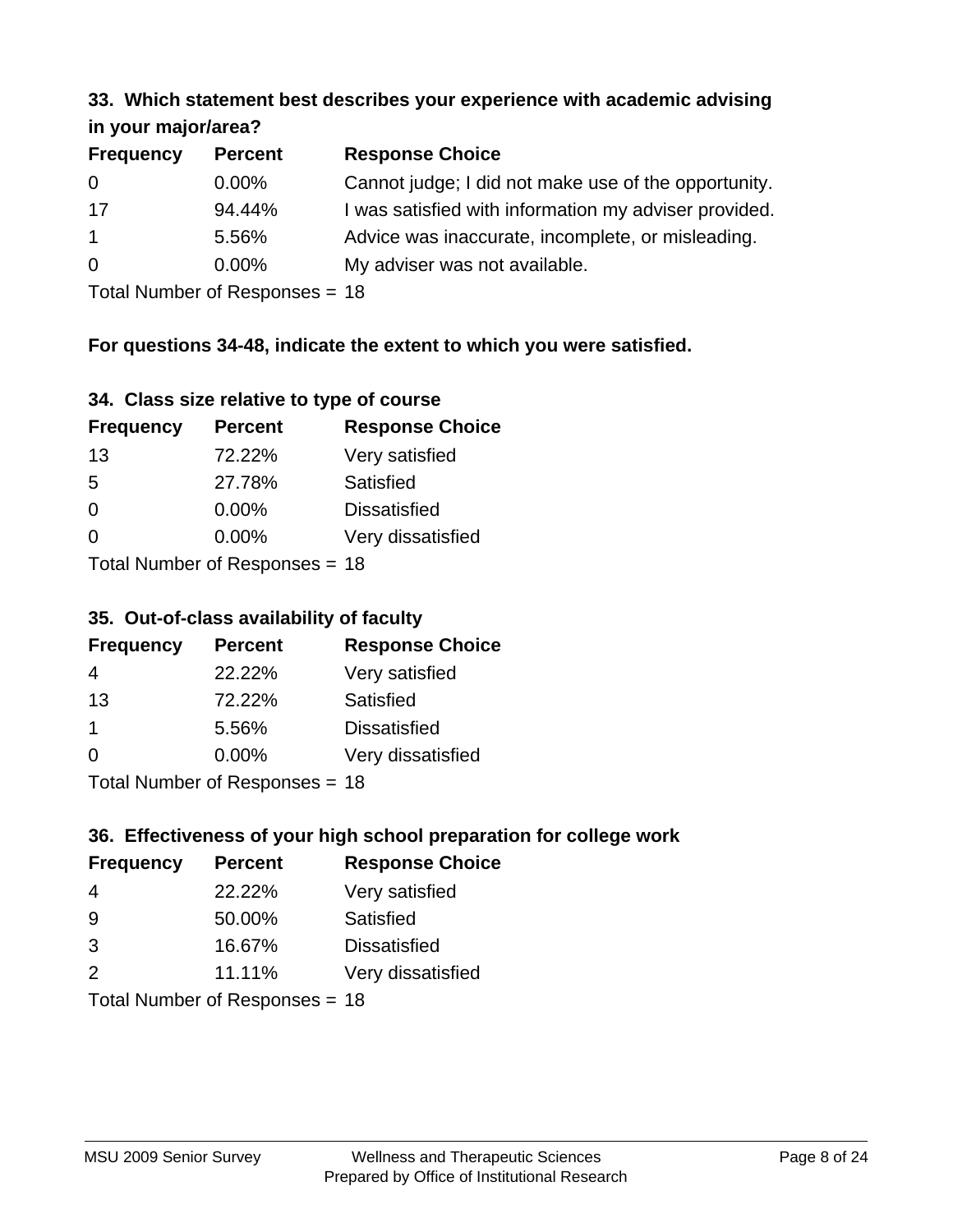#### **33. Which statement best describes your experience with academic advising in your major/area?**

| $\mathbf{u}$ yvu $\mathbf{u}$ yvu $\mathbf{v}$ |                |                                                       |
|------------------------------------------------|----------------|-------------------------------------------------------|
| <b>Frequency</b>                               | <b>Percent</b> | <b>Response Choice</b>                                |
| 0                                              | $0.00\%$       | Cannot judge; I did not make use of the opportunity.  |
| 17                                             | 94.44%         | I was satisfied with information my adviser provided. |
| $\mathbf{1}$                                   | 5.56%          | Advice was inaccurate, incomplete, or misleading.     |
| $\overline{0}$                                 | $0.00\%$       | My adviser was not available.                         |
|                                                |                |                                                       |

Total Number of Responses = 18

# **For questions 34-48, indicate the extent to which you were satisfied.**

| 34. Class size relative to type of course |  |  |  |  |  |  |  |  |
|-------------------------------------------|--|--|--|--|--|--|--|--|
|-------------------------------------------|--|--|--|--|--|--|--|--|

| <b>Frequency</b> | <b>Percent</b>                 | <b>Response Choice</b> |
|------------------|--------------------------------|------------------------|
| 13               | 72.22%                         | Very satisfied         |
| -5               | 27.78%                         | Satisfied              |
| $\Omega$         | $0.00\%$                       | <b>Dissatisfied</b>    |
| $\Omega$         | $0.00\%$                       | Very dissatisfied      |
|                  | Total Number of Responses - 18 |                        |

Total Number of Responses = 18

### **35. Out-of-class availability of faculty**

| <b>Frequency</b> | <b>Percent</b>            | <b>Response Choice</b> |
|------------------|---------------------------|------------------------|
| 4                | 22.22%                    | Very satisfied         |
| 13               | 72.22%                    | Satisfied              |
| 1                | 5.56%                     | <b>Dissatisfied</b>    |
| $\Omega$         | 0.00%                     | Very dissatisfied      |
|                  | Total Number of Desponses |                        |

Total Number of Responses = 18

### **36. Effectiveness of your high school preparation for college work**

| <b>Frequency</b> | <b>Percent</b>              | <b>Response Choice</b> |
|------------------|-----------------------------|------------------------|
| 4                | 22.22%                      | Very satisfied         |
| 9                | 50.00%                      | Satisfied              |
| 3                | 16.67%                      | <b>Dissatisfied</b>    |
| $\mathcal{P}$    | 11.11%                      | Very dissatisfied      |
|                  | Tatal Manuala and Dannanana |                        |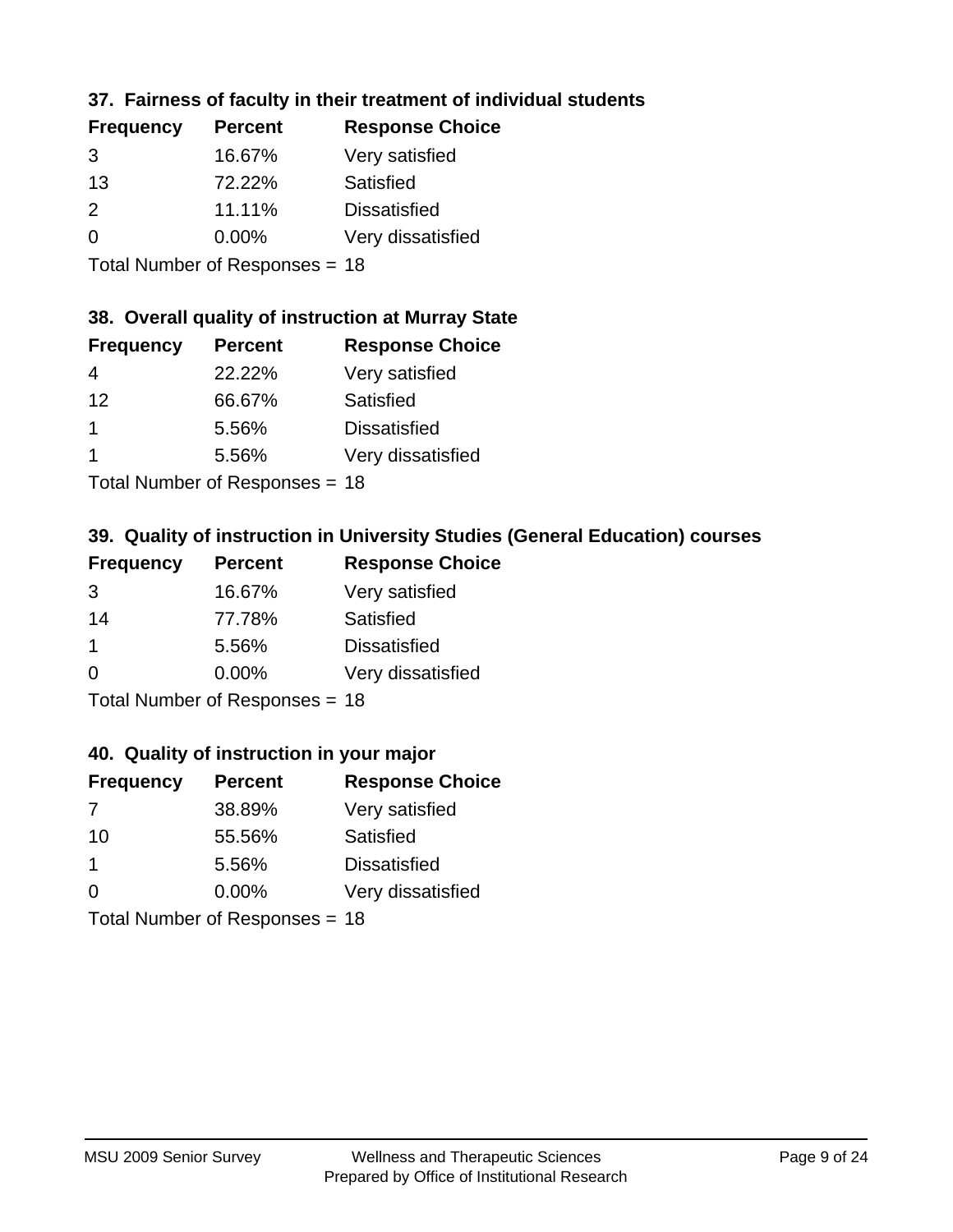# **37. Fairness of faculty in their treatment of individual students**

| <b>Frequency</b> | <b>Percent</b> | <b>Response Choice</b> |
|------------------|----------------|------------------------|
| 3                | 16.67%         | Very satisfied         |
| 13               | 72.22%         | Satisfied              |
| $\mathcal{P}$    | 11.11%         | <b>Dissatisfied</b>    |
| $\Omega$         | $0.00\%$       | Very dissatisfied      |
|                  |                |                        |

Total Number of Responses = 18

### **38. Overall quality of instruction at Murray State**

| <b>Frequency</b> | <b>Percent</b> | <b>Response Choice</b> |
|------------------|----------------|------------------------|
| 4                | 22.22%         | Very satisfied         |
| 12               | 66.67%         | Satisfied              |
|                  | 5.56%          | <b>Dissatisfied</b>    |
|                  | 5.56%          | Very dissatisfied      |
|                  |                |                        |

Total Number of Responses = 18

# **39. Quality of instruction in University Studies (General Education) courses**

| <b>Frequency</b> | <b>Percent</b>            | <b>Response Choice</b> |
|------------------|---------------------------|------------------------|
| 3                | 16.67%                    | Very satisfied         |
| 14               | 77.78%                    | Satisfied              |
| -1               | 5.56%                     | <b>Dissatisfied</b>    |
| $\Omega$         | 0.00%                     | Very dissatisfied      |
|                  | Total Number of Desponses |                        |

Total Number of Responses = 18

### **40. Quality of instruction in your major**

| <b>Frequency</b> | <b>Percent</b>                 | <b>Response Choice</b> |
|------------------|--------------------------------|------------------------|
| -7               | 38.89%                         | Very satisfied         |
| 10               | 55.56%                         | Satisfied              |
| $\mathbf 1$      | 5.56%                          | <b>Dissatisfied</b>    |
| $\Omega$         | $0.00\%$                       | Very dissatisfied      |
|                  | Total Number of Responses = 18 |                        |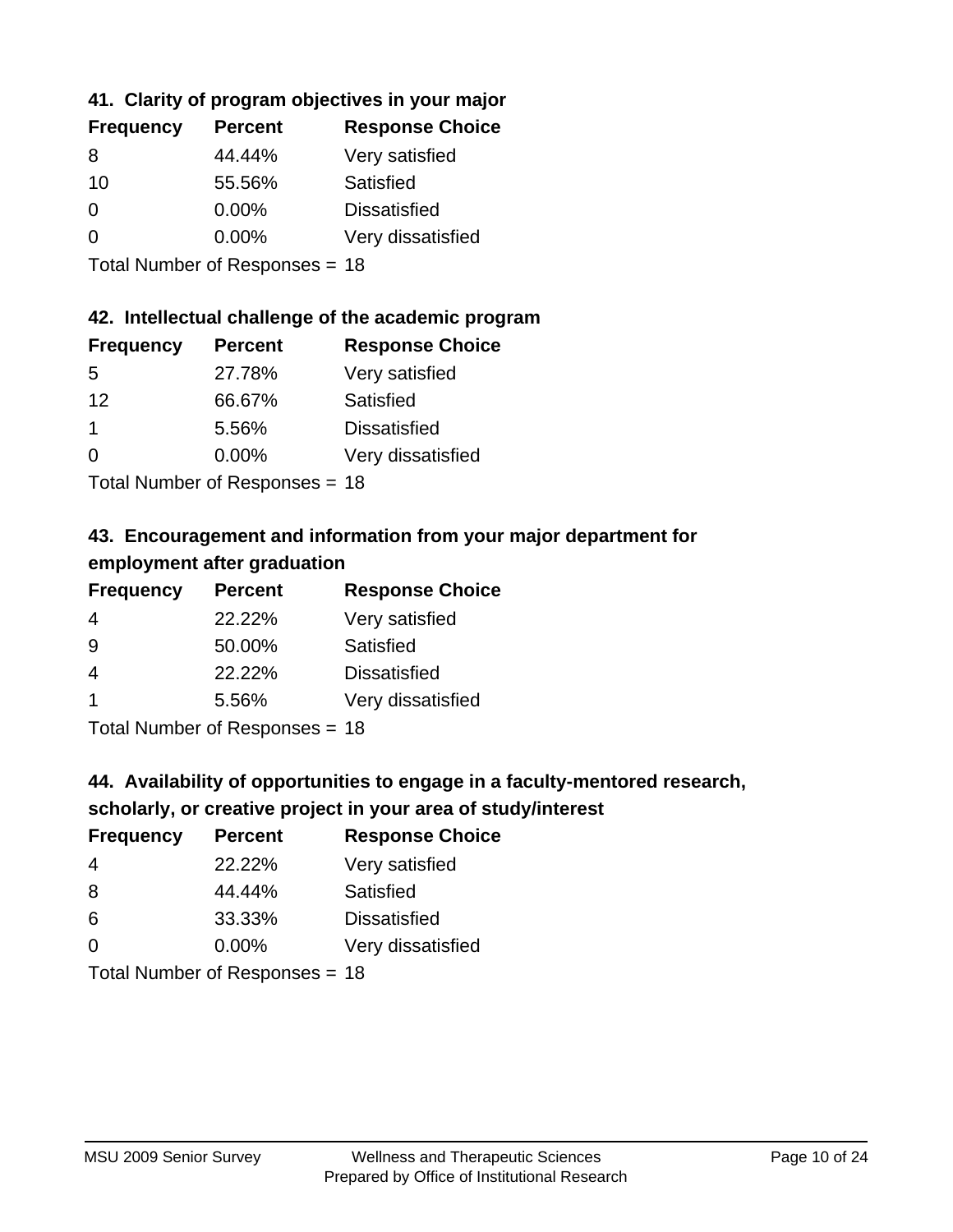# **41. Clarity of program objectives in your major**

| <b>Frequency</b> | <b>Percent</b> | <b>Response Choice</b> |
|------------------|----------------|------------------------|
| 8                | 44.44%         | Very satisfied         |
| 10               | 55.56%         | Satisfied              |
| 0                | 0.00%          | <b>Dissatisfied</b>    |
| ∩                | 0.00%          | Very dissatisfied      |
|                  |                |                        |

Total Number of Responses = 18

### **42. Intellectual challenge of the academic program**

| <b>Frequency</b> | <b>Percent</b> | <b>Response Choice</b> |
|------------------|----------------|------------------------|
| .5               | 27.78%         | Very satisfied         |
| 12               | 66.67%         | Satisfied              |
|                  | 5.56%          | <b>Dissatisfied</b>    |
| $\Omega$         | 0.00%          | Very dissatisfied      |
|                  |                |                        |

Total Number of Responses = 18

# **43. Encouragement and information from your major department for employment after graduation**

| <b>Frequency</b>     | <b>Percent</b> | <b>Response Choice</b> |
|----------------------|----------------|------------------------|
| 4                    | 22.22%         | Very satisfied         |
| 9                    | 50.00%         | Satisfied              |
| 4                    | 22.22%         | <b>Dissatisfied</b>    |
| $\blacktriangleleft$ | 5.56%          | Very dissatisfied      |
|                      |                |                        |

Total Number of Responses = 18

# **44. Availability of opportunities to engage in a faculty-mentored research,**

### **scholarly, or creative project in your area of study/interest**

| <b>Frequency</b> | <b>Percent</b> | <b>Response Choice</b> |
|------------------|----------------|------------------------|
| 4                | 22.22%         | Very satisfied         |
| 8                | 44.44%         | Satisfied              |
| 6                | 33.33%         | <b>Dissatisfied</b>    |
| $\Omega$         | 0.00%          | Very dissatisfied      |
|                  |                |                        |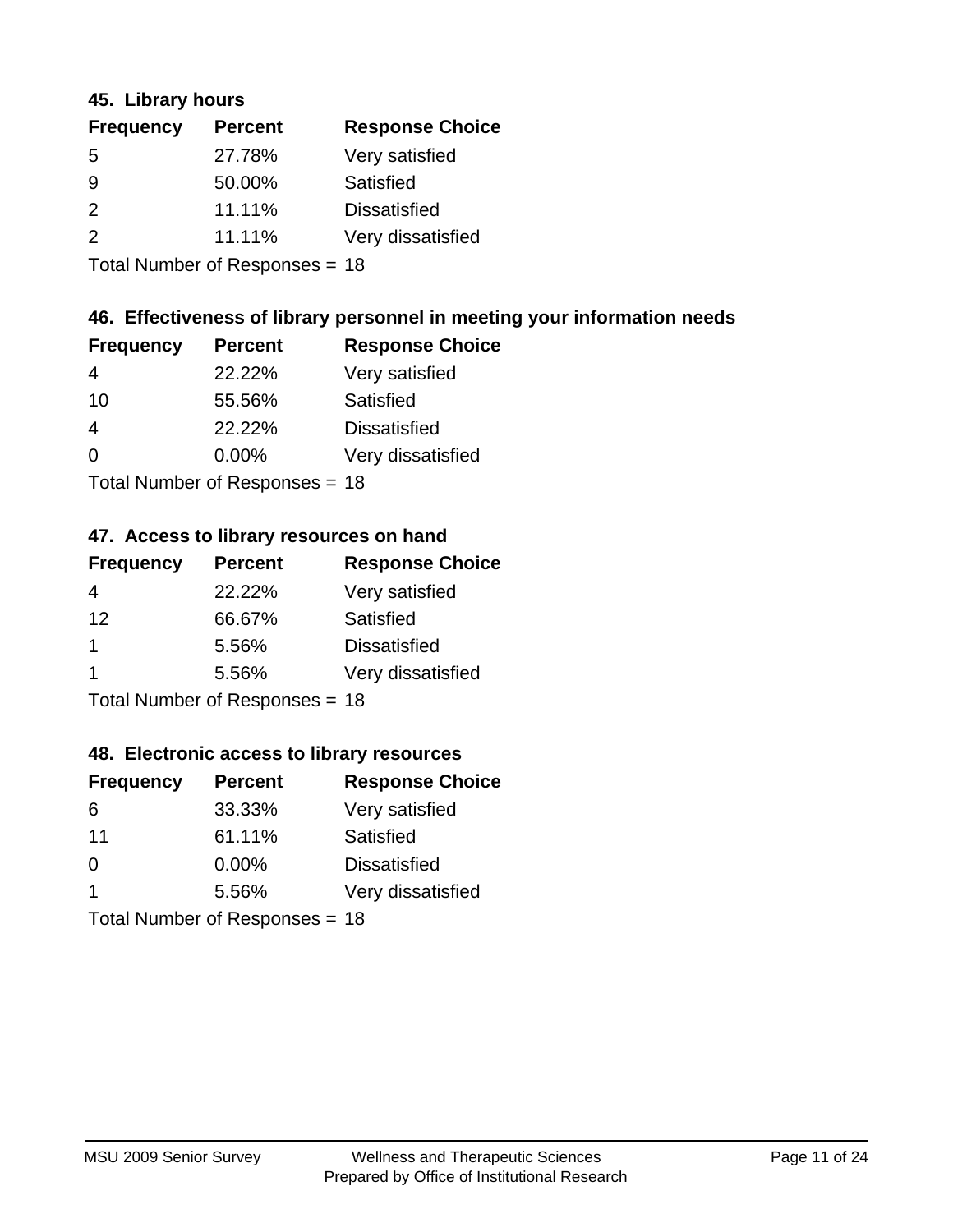### **45. Library hours**

| <b>Frequency</b> | <b>Percent</b> | <b>Response Choice</b> |
|------------------|----------------|------------------------|
| 5                | 27.78%         | Very satisfied         |
| 9                | 50.00%         | Satisfied              |
| $\mathcal{P}$    | 11.11%         | <b>Dissatisfied</b>    |
| $\mathcal{P}$    | 11.11%         | Very dissatisfied      |
|                  |                |                        |

Total Number of Responses = 18

## **46. Effectiveness of library personnel in meeting your information needs**

| <b>Frequency</b> | <b>Percent</b> | <b>Response Choice</b> |
|------------------|----------------|------------------------|
| 4                | 22.22%         | Very satisfied         |
| 10               | 55.56%         | Satisfied              |
| 4                | 22.22%         | <b>Dissatisfied</b>    |
| $\Omega$         | $0.00\%$       | Very dissatisfied      |
|                  |                |                        |

Total Number of Responses = 18

### **47. Access to library resources on hand**

| <b>Frequency</b> | <b>Percent</b>            | <b>Response Choice</b> |
|------------------|---------------------------|------------------------|
| 4                | 22.22%                    | Very satisfied         |
| 12               | 66.67%                    | Satisfied              |
| 1                | 5.56%                     | <b>Dissatisfied</b>    |
|                  | 5.56%                     | Very dissatisfied      |
|                  | Total Number of Deepersee |                        |

Total Number of Responses = 18

### **48. Electronic access to library resources**

| <b>Frequency</b> | <b>Percent</b>                 | <b>Response Choice</b> |
|------------------|--------------------------------|------------------------|
| 6                | 33.33%                         | Very satisfied         |
| 11               | 61.11%                         | Satisfied              |
| $\Omega$         | $0.00\%$                       | <b>Dissatisfied</b>    |
| -1               | 5.56%                          | Very dissatisfied      |
|                  | Total Number of Responses = 18 |                        |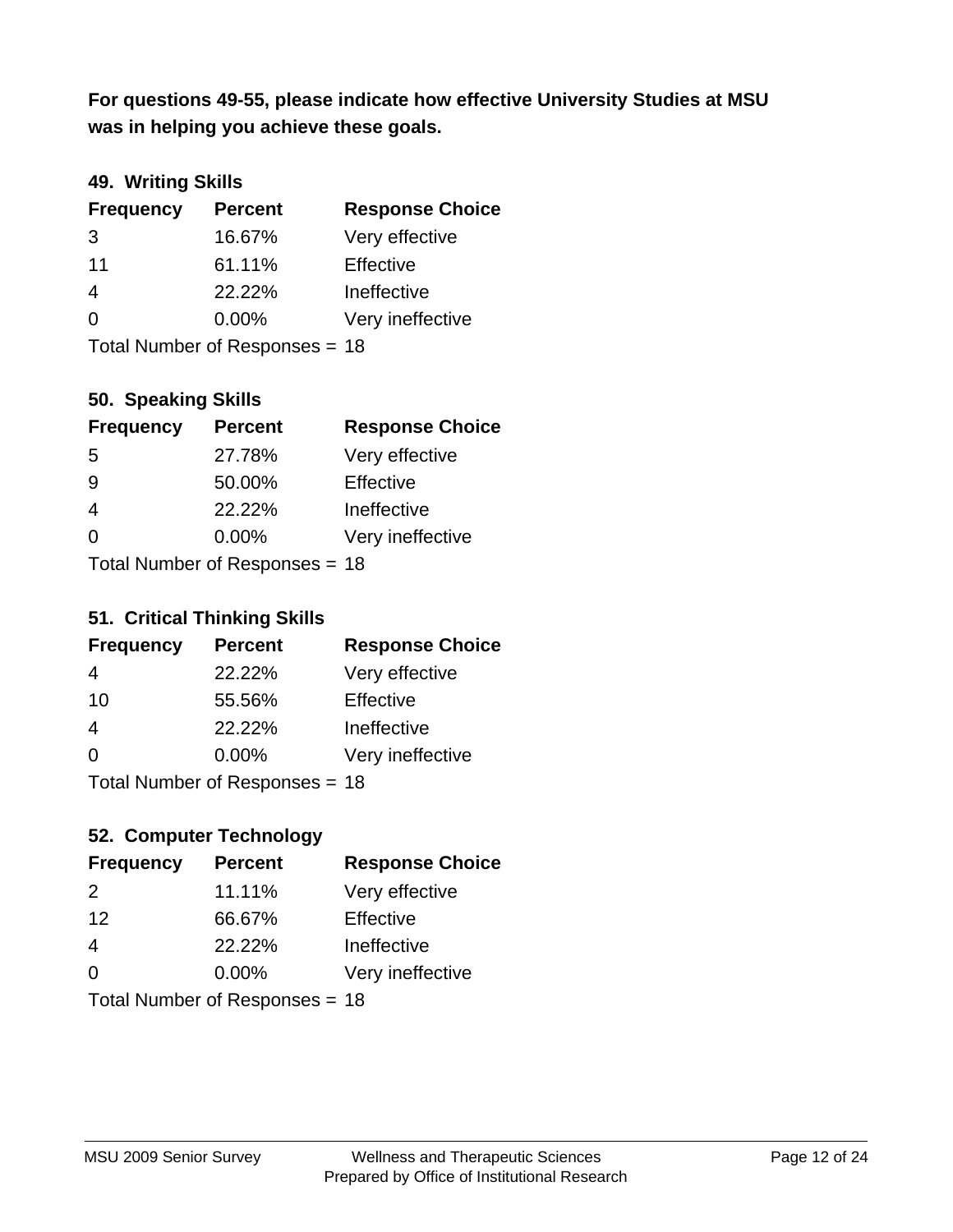**was in helping you achieve these goals. For questions 49-55, please indicate how effective University Studies at MSU** 

# **49. Writing Skills**

| <b>Frequency</b> | <b>Percent</b>                 | <b>Response Choice</b> |
|------------------|--------------------------------|------------------------|
| 3                | 16.67%                         | Very effective         |
| 11               | 61.11%                         | Effective              |
| 4                | 22.22%                         | Ineffective            |
| $\Omega$         | $0.00\%$                       | Very ineffective       |
|                  | Total Number of Responses = 18 |                        |

## **50. Speaking Skills**

| <b>Frequency</b> | <b>Percent</b>                 | <b>Response Choice</b> |
|------------------|--------------------------------|------------------------|
| -5               | 27.78%                         | Very effective         |
| 9                | 50.00%                         | Effective              |
| 4                | 22.22%                         | Ineffective            |
| $\Omega$         | 0.00%                          | Very ineffective       |
|                  | Total Number of Poenonces - 18 |                        |

Total Number of Responses = 18

### **51. Critical Thinking Skills**

| <b>Frequency</b> | <b>Percent</b>                  | <b>Response Choice</b> |
|------------------|---------------------------------|------------------------|
| 4                | 22.22%                          | Very effective         |
| 10               | 55.56%                          | Effective              |
| 4                | 22.22%                          | Ineffective            |
| $\Omega$         | 0.00%                           | Very ineffective       |
|                  | $Total$ Number of Despasses $-$ |                        |

Total Number of Responses = 18

# **52. Computer Technology**

| <b>Frequency</b> | <b>Percent</b>                 | <b>Response Choice</b> |
|------------------|--------------------------------|------------------------|
| $\mathcal{P}$    | 11.11%                         | Very effective         |
| 12               | 66.67%                         | Effective              |
| $\overline{4}$   | 22.22%                         | Ineffective            |
| $\Omega$         | $0.00\%$                       | Very ineffective       |
|                  | Total Number of Responses = 18 |                        |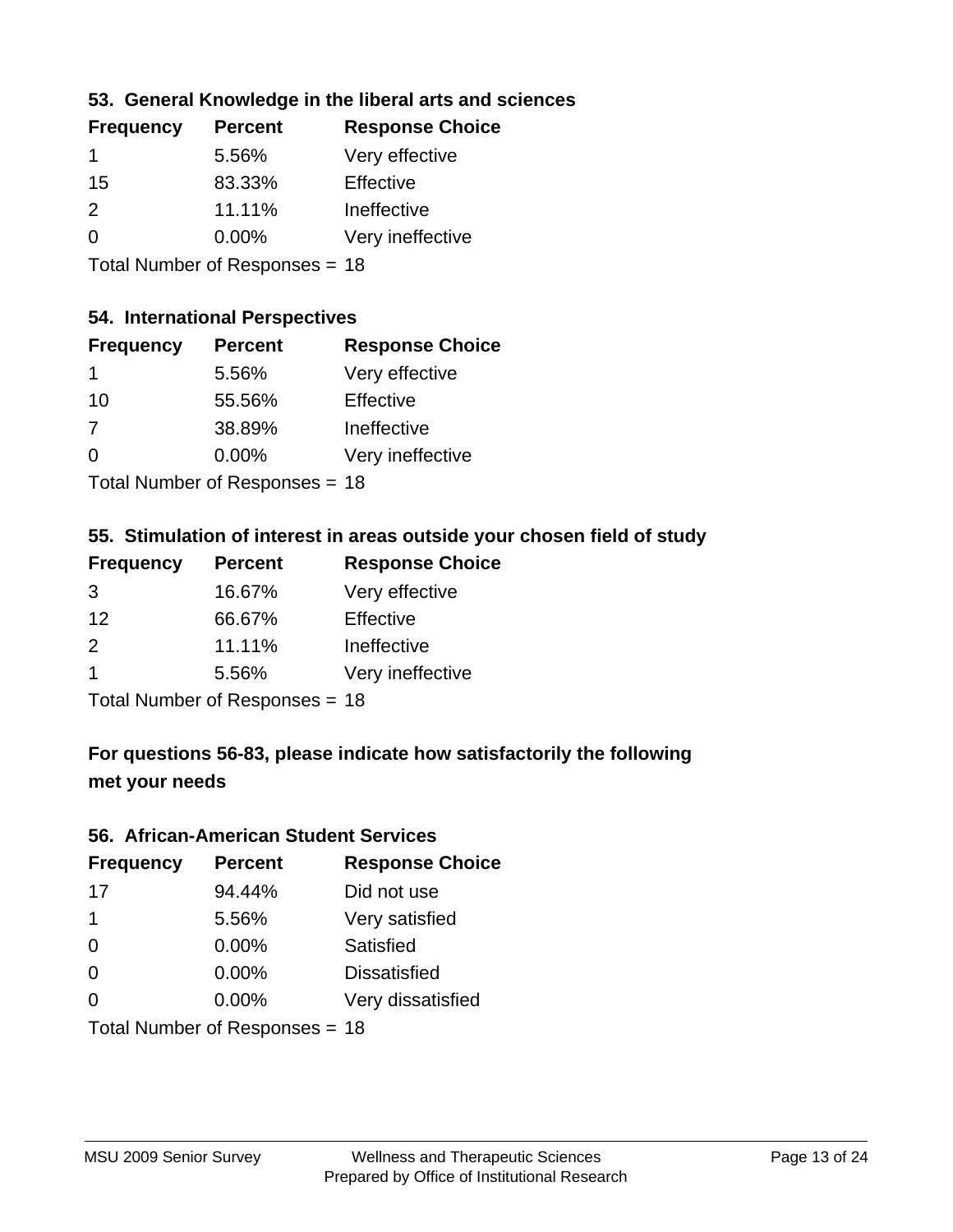# **53. General Knowledge in the liberal arts and sciences**

| <b>Frequency</b> | <b>Percent</b> | <b>Response Choice</b> |
|------------------|----------------|------------------------|
| 1                | 5.56%          | Very effective         |
| 15               | 83.33%         | Effective              |
| $\mathcal{P}$    | 11.11%         | Ineffective            |
| $\Omega$         | 0.00%          | Very ineffective       |
|                  |                |                        |

Total Number of Responses = 18

### **54. International Perspectives**

| <b>Frequency</b> | <b>Percent</b> | <b>Response Choice</b> |
|------------------|----------------|------------------------|
| 1                | 5.56%          | Very effective         |
| 10               | 55.56%         | Effective              |
| 7                | 38.89%         | Ineffective            |
| $\Omega$         | 0.00%          | Very ineffective       |
|                  |                |                        |

Total Number of Responses = 18

## **55. Stimulation of interest in areas outside your chosen field of study**

| <b>Frequency</b>               | <b>Percent</b> | <b>Response Choice</b> |
|--------------------------------|----------------|------------------------|
| 3                              | 16.67%         | Very effective         |
| 12                             | 66.67%         | Effective              |
| 2                              | 11.11%         | Ineffective            |
| $\overline{1}$                 | 5.56%          | Very ineffective       |
| Total Number of Responses = 18 |                |                        |

**For questions 56-83, please indicate how satisfactorily the following met your needs**

#### **56. African-American Student Services**

| <b>Frequency</b> | <b>Percent</b>                 | <b>Response Choice</b> |
|------------------|--------------------------------|------------------------|
| 17               | 94.44%                         | Did not use            |
| $\mathbf 1$      | 5.56%                          | Very satisfied         |
| 0                | 0.00%                          | Satisfied              |
| 0                | $0.00\%$                       | <b>Dissatisfied</b>    |
| $\Omega$         | $0.00\%$                       | Very dissatisfied      |
|                  | Total Number of Responses = 18 |                        |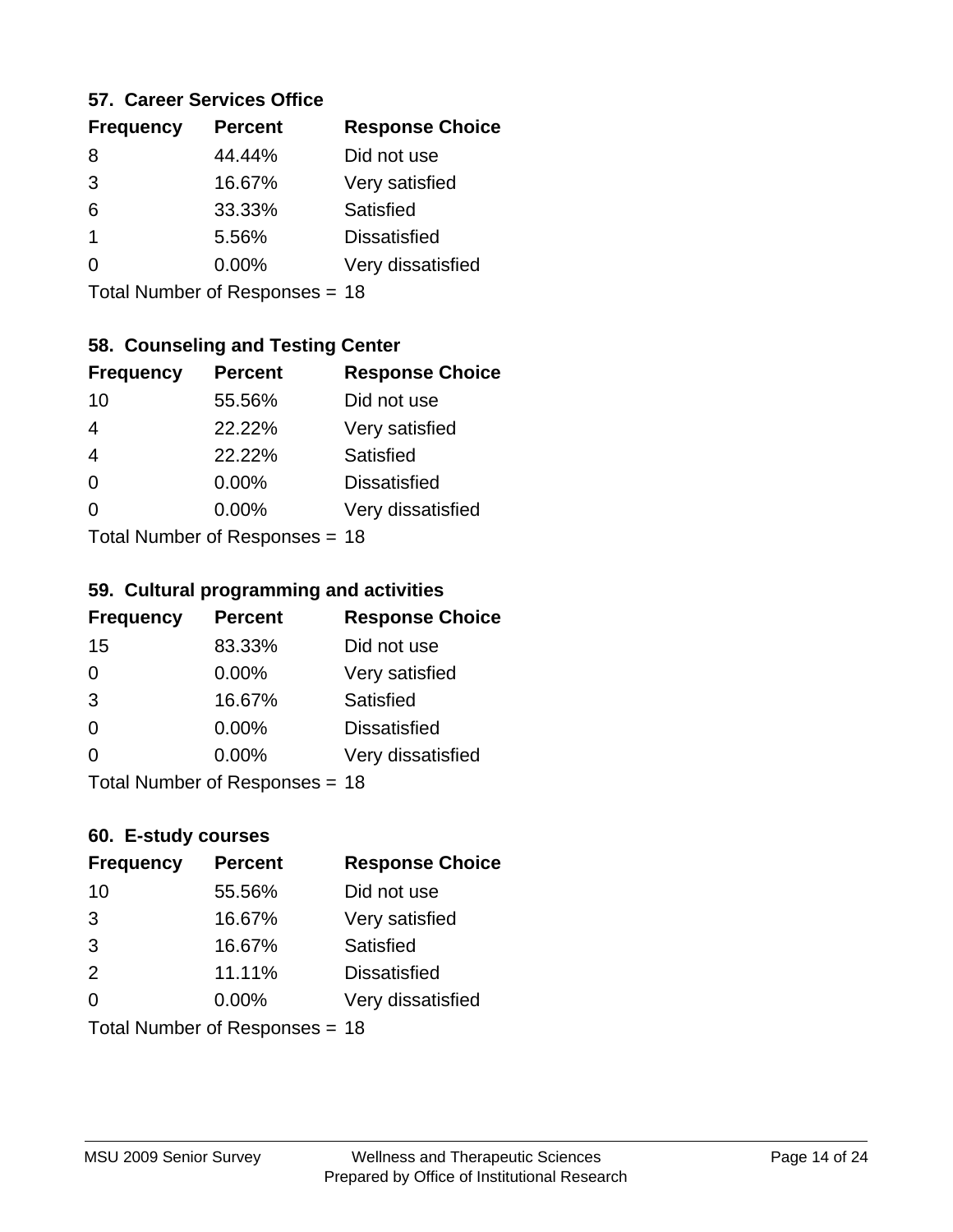### **57. Career Services Office**

| <b>Frequency</b> | <b>Percent</b> | <b>Response Choice</b> |
|------------------|----------------|------------------------|
| 8                | 44.44%         | Did not use            |
| 3                | 16.67%         | Very satisfied         |
| 6                | 33.33%         | Satisfied              |
|                  | 5.56%          | <b>Dissatisfied</b>    |
|                  | $0.00\%$       | Very dissatisfied      |
|                  |                |                        |

Total Number of Responses = 18

## **58. Counseling and Testing Center**

| <b>Frequency</b> | <b>Percent</b>            | <b>Response Choice</b> |
|------------------|---------------------------|------------------------|
| 10               | 55.56%                    | Did not use            |
| 4                | 22.22%                    | Very satisfied         |
| $\overline{4}$   | 22.22%                    | <b>Satisfied</b>       |
| $\Omega$         | $0.00\%$                  | <b>Dissatisfied</b>    |
| ∩                | 0.00%                     | Very dissatisfied      |
|                  | Total Number of Desponses |                        |

Total Number of Responses = 18

#### **59. Cultural programming and activities**

| <b>Frequency</b> | <b>Percent</b>                 | <b>Response Choice</b> |
|------------------|--------------------------------|------------------------|
| 15               | 83.33%                         | Did not use            |
| $\Omega$         | $0.00\%$                       | Very satisfied         |
| 3                | 16.67%                         | Satisfied              |
| $\Omega$         | $0.00\%$                       | <b>Dissatisfied</b>    |
| $\Omega$         | $0.00\%$                       | Very dissatisfied      |
|                  | Total Number of Poenances - 18 |                        |

Total Number of Responses = 18

### **60. E-study courses**

| <b>Frequency</b> | <b>Percent</b>                 | <b>Response Choice</b> |
|------------------|--------------------------------|------------------------|
| 10               | 55.56%                         | Did not use            |
| 3                | 16.67%                         | Very satisfied         |
| 3                | 16.67%                         | Satisfied              |
| 2                | 11.11%                         | <b>Dissatisfied</b>    |
| $\Omega$         | $0.00\%$                       | Very dissatisfied      |
|                  | Total Number of Responses = 18 |                        |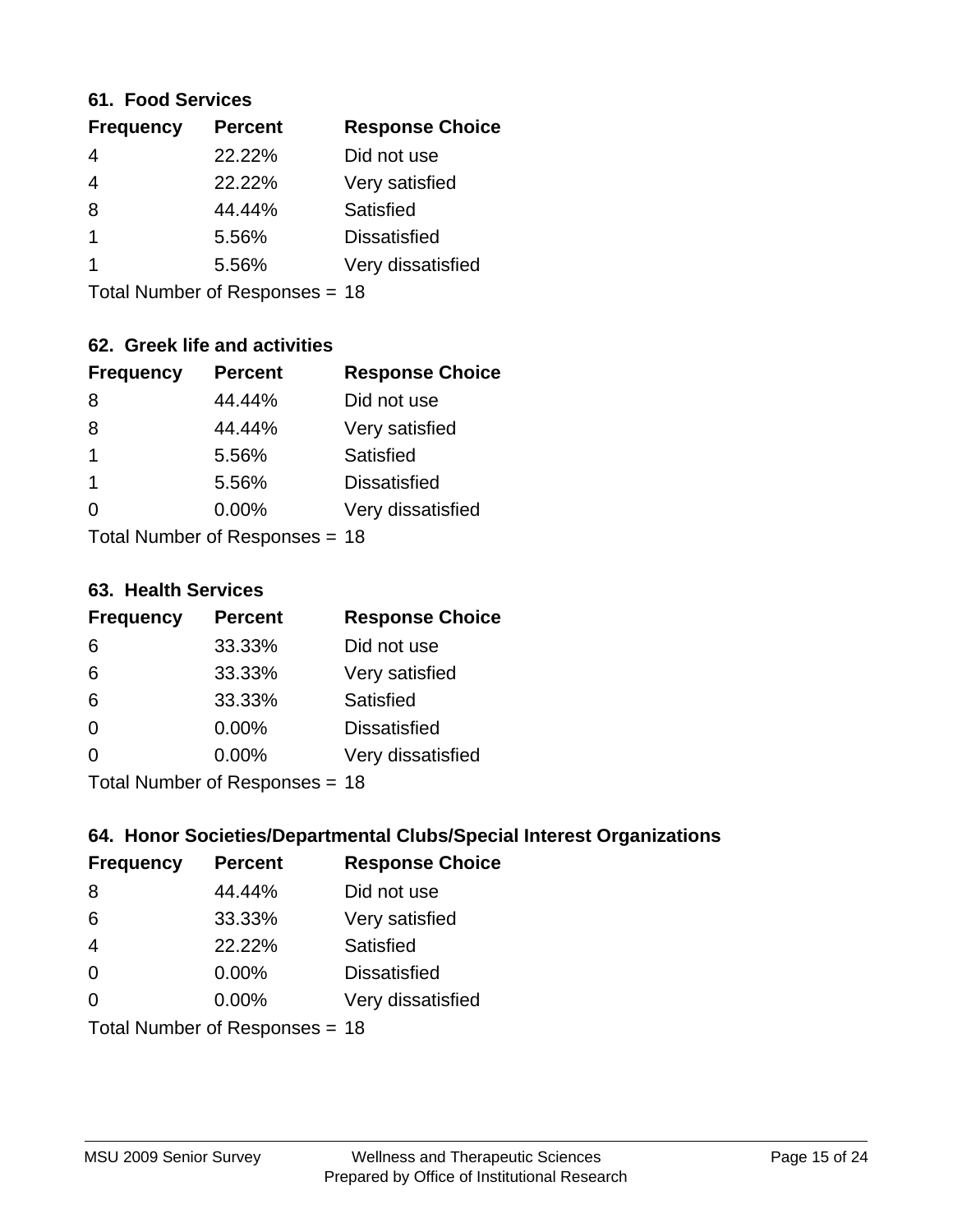### **61. Food Services**

| <b>Percent</b> | <b>Response Choice</b> |
|----------------|------------------------|
| 22.22%         | Did not use            |
| 22.22%         | Very satisfied         |
| 44.44%         | Satisfied              |
| 5.56%          | <b>Dissatisfied</b>    |
| 5.56%          | Very dissatisfied      |
|                |                        |

Total Number of Responses = 18

# **62. Greek life and activities**

| <b>Frequency</b>     | <b>Percent</b>                 | <b>Response Choice</b> |
|----------------------|--------------------------------|------------------------|
| 8                    | 44.44%                         | Did not use            |
| 8                    | 44.44%                         | Very satisfied         |
| $\mathbf{1}$         | 5.56%                          | <b>Satisfied</b>       |
| $\blacktriangleleft$ | 5.56%                          | <b>Dissatisfied</b>    |
| 0                    | $0.00\%$                       | Very dissatisfied      |
|                      | Total Number of Responses = 18 |                        |

#### **63. Health Services**

| <b>Frequency</b> | <b>Percent</b>            | <b>Response Choice</b> |
|------------------|---------------------------|------------------------|
| 6                | 33.33%                    | Did not use            |
| 6                | 33.33%                    | Very satisfied         |
| 6                | 33.33%                    | Satisfied              |
| $\Omega$         | $0.00\%$                  | <b>Dissatisfied</b>    |
| $\Omega$         | 0.00%                     | Very dissatisfied      |
|                  | Total Number of Desponses |                        |

Total Number of Responses = 18

## **64. Honor Societies/Departmental Clubs/Special Interest Organizations**

| <b>Frequency</b> | <b>Percent</b>                 | <b>Response Choice</b> |
|------------------|--------------------------------|------------------------|
| 8                | 44.44%                         | Did not use            |
| 6                | 33.33%                         | Very satisfied         |
| $\overline{4}$   | 22.22%                         | Satisfied              |
| $\Omega$         | $0.00\%$                       | <b>Dissatisfied</b>    |
| $\Omega$         | 0.00%                          | Very dissatisfied      |
|                  | Total Number of Responses = 18 |                        |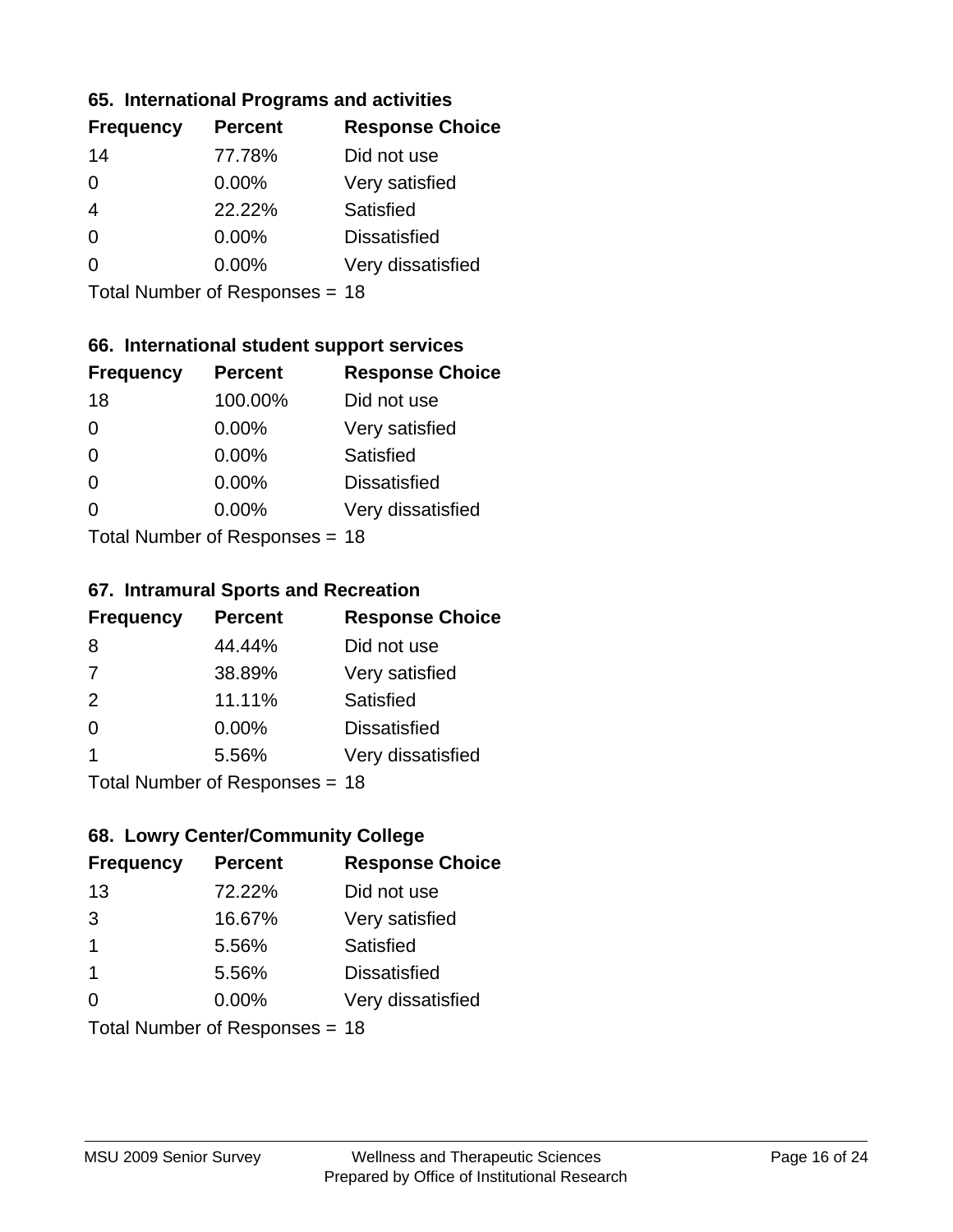### **65. International Programs and activities**

| <b>Frequency</b> | <b>Percent</b> | <b>Response Choice</b> |
|------------------|----------------|------------------------|
| 14               | 77.78%         | Did not use            |
| 0                | 0.00%          | Very satisfied         |
|                  | 22.22%         | Satisfied              |
| 0                | $0.00\%$       | <b>Dissatisfied</b>    |
|                  | $0.00\%$       | Very dissatisfied      |
|                  |                |                        |

Total Number of Responses = 18

# **66. International student support services**

| <b>Frequency</b> | <b>Percent</b>            | <b>Response Choice</b> |
|------------------|---------------------------|------------------------|
| 18               | 100.00%                   | Did not use            |
| $\Omega$         | 0.00%                     | Very satisfied         |
| $\Omega$         | $0.00\%$                  | <b>Satisfied</b>       |
| $\Omega$         | 0.00%                     | <b>Dissatisfied</b>    |
| $\Omega$         | 0.00%                     | Very dissatisfied      |
|                  | Total Number of Deepensee |                        |

Total Number of Responses = 18

#### **67. Intramural Sports and Recreation**

| <b>Frequency</b> | <b>Percent</b>                | <b>Response Choice</b> |
|------------------|-------------------------------|------------------------|
| 8                | 44.44%                        | Did not use            |
| 7                | 38.89%                        | Very satisfied         |
| 2                | 11.11%                        | Satisfied              |
| $\Omega$         | 0.00%                         | <b>Dissatisfied</b>    |
| -1               | 5.56%                         | Very dissatisfied      |
|                  | $Total Number of Doepopoog -$ |                        |

Total Number of Responses = 18

# **68. Lowry Center/Community College**

| <b>Frequency</b>        | <b>Percent</b>                 | <b>Response Choice</b> |
|-------------------------|--------------------------------|------------------------|
| 13                      | 72.22%                         | Did not use            |
| 3                       | 16.67%                         | Very satisfied         |
| $\mathbf 1$             | 5.56%                          | Satisfied              |
| $\overline{\mathbf{1}}$ | 5.56%                          | <b>Dissatisfied</b>    |
| ∩                       | $0.00\%$                       | Very dissatisfied      |
|                         | Total Number of Responses = 18 |                        |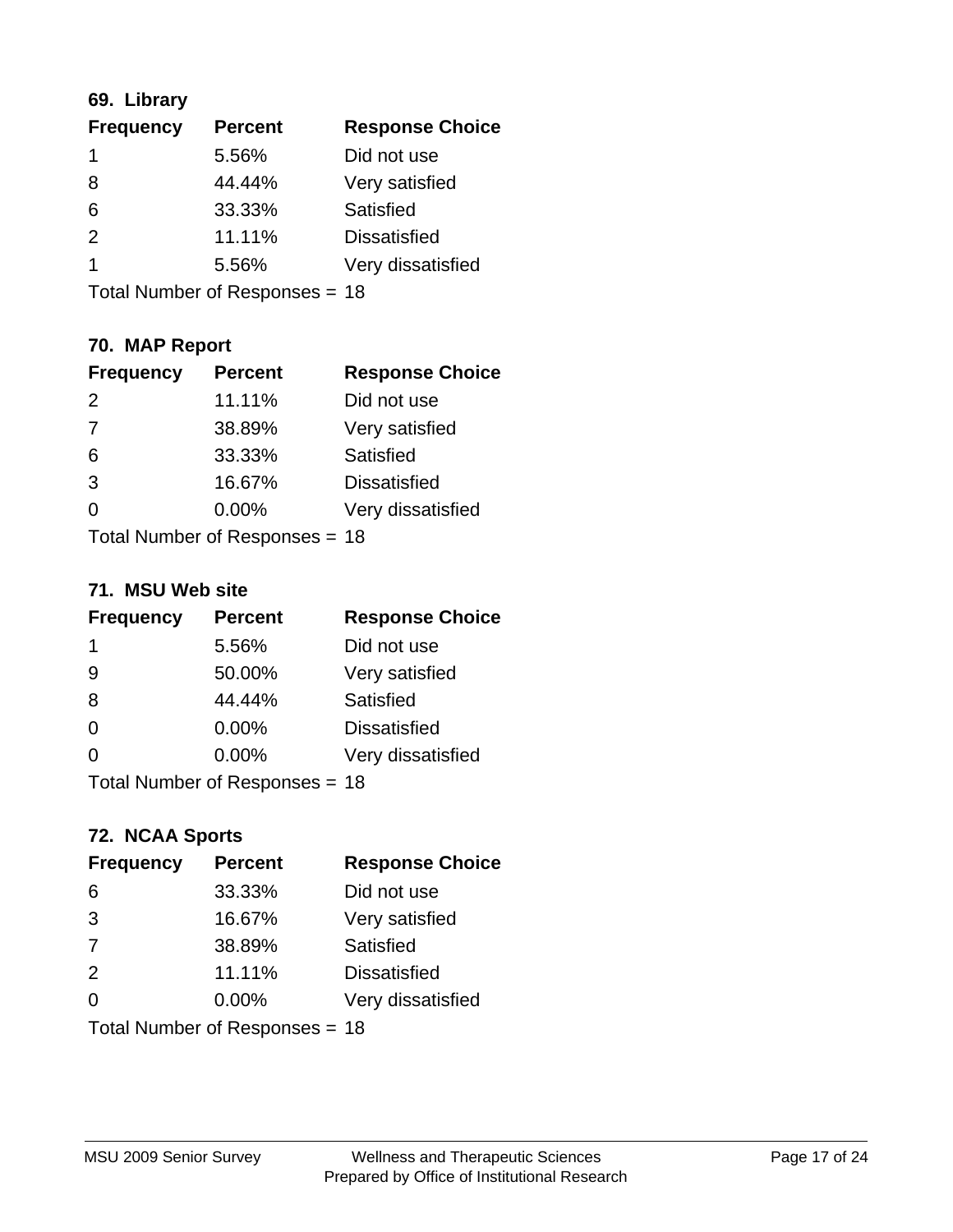# **69. Library**

| <b>Frequency</b> | <b>Percent</b> | <b>Response Choice</b> |
|------------------|----------------|------------------------|
| 1                | 5.56%          | Did not use            |
| 8                | 44.44%         | Very satisfied         |
| 6                | 33.33%         | Satisfied              |
| $\mathcal{P}$    | 11.11%         | <b>Dissatisfied</b>    |
| 1                | 5.56%          | Very dissatisfied      |
|                  |                |                        |

Total Number of Responses = 18

# **70. MAP Report**

| <b>Frequency</b> | <b>Percent</b>                 | <b>Response Choice</b> |
|------------------|--------------------------------|------------------------|
| 2                | 11.11%                         | Did not use            |
| 7                | 38.89%                         | Very satisfied         |
| 6                | 33.33%                         | Satisfied              |
| 3                | 16.67%                         | <b>Dissatisfied</b>    |
| 0                | $0.00\%$                       | Very dissatisfied      |
|                  | Total Number of Responses = 18 |                        |

### **71. MSU Web site**

| <b>Frequency</b> | <b>Percent</b>                 | <b>Response Choice</b> |
|------------------|--------------------------------|------------------------|
| -1               | 5.56%                          | Did not use            |
| 9                | 50.00%                         | Very satisfied         |
| 8                | 44.44%                         | Satisfied              |
| $\Omega$         | 0.00%                          | <b>Dissatisfied</b>    |
| $\Omega$         | 0.00%                          | Very dissatisfied      |
|                  | Total Number of Responses = 18 |                        |

# **72. NCAA Sports**

| <b>Frequency</b> | <b>Percent</b>                 | <b>Response Choice</b> |
|------------------|--------------------------------|------------------------|
| 6                | 33.33%                         | Did not use            |
| 3                | 16.67%                         | Very satisfied         |
| 7                | 38.89%                         | <b>Satisfied</b>       |
| 2                | 11.11%                         | <b>Dissatisfied</b>    |
| $\Omega$         | 0.00%                          | Very dissatisfied      |
|                  | Total Number of Responses = 18 |                        |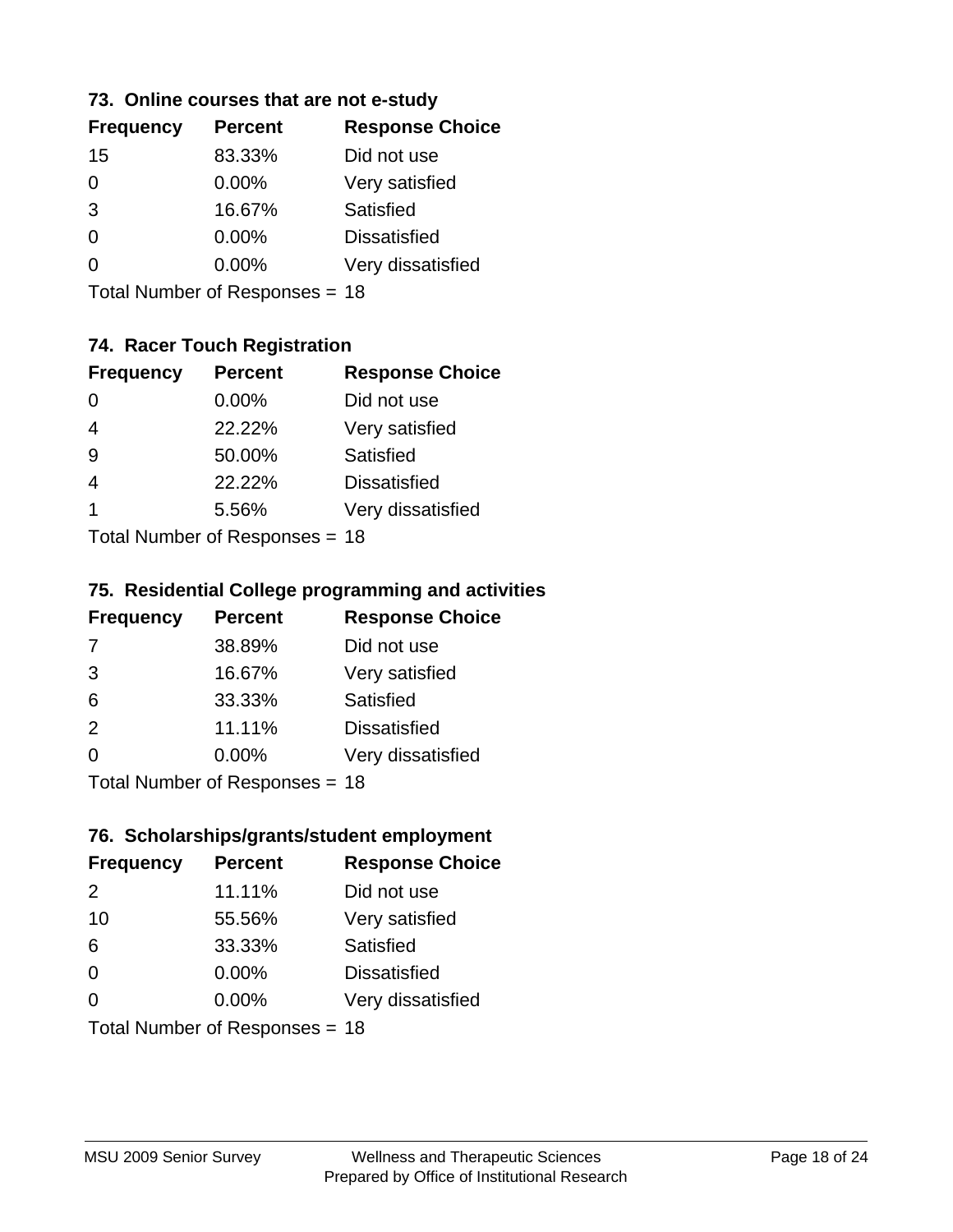## **73. Online courses that are not e-study**

| <b>Frequency</b> | <b>Percent</b> | <b>Response Choice</b> |
|------------------|----------------|------------------------|
| 15               | 83.33%         | Did not use            |
| 0                | $0.00\%$       | Very satisfied         |
| 3                | 16.67%         | Satisfied              |
| 0                | $0.00\%$       | <b>Dissatisfied</b>    |
|                  | $0.00\%$       | Very dissatisfied      |
|                  |                |                        |

Total Number of Responses = 18

# **74. Racer Touch Registration**

| <b>Frequency</b>          | <b>Percent</b> | <b>Response Choice</b> |
|---------------------------|----------------|------------------------|
| 0                         | 0.00%          | Did not use            |
| $\overline{4}$            | 22.22%         | Very satisfied         |
| 9                         | 50.00%         | Satisfied              |
|                           | 22.22%         | <b>Dissatisfied</b>    |
| 1                         | 5.56%          | Very dissatisfied      |
| Total Number of Desponses |                |                        |

Total Number of Responses = 18

### **75. Residential College programming and activities**

| <b>Frequency</b> | <b>Percent</b>             | <b>Response Choice</b> |
|------------------|----------------------------|------------------------|
| 7                | 38.89%                     | Did not use            |
| 3                | 16.67%                     | Very satisfied         |
| 6                | 33.33%                     | Satisfied              |
| 2                | 11.11%                     | <b>Dissatisfied</b>    |
| $\Omega$         | 0.00%                      | Very dissatisfied      |
|                  | Total Number of Desperance |                        |

Total Number of Responses = 18

### **76. Scholarships/grants/student employment**

| <b>Frequency</b> | <b>Percent</b>                 | <b>Response Choice</b> |
|------------------|--------------------------------|------------------------|
| $\mathcal{P}$    | 11.11%                         | Did not use            |
| 10               | 55.56%                         | Very satisfied         |
| 6                | 33.33%                         | <b>Satisfied</b>       |
| $\Omega$         | 0.00%                          | <b>Dissatisfied</b>    |
| $\Omega$         | 0.00%                          | Very dissatisfied      |
|                  | Total Number of Responses = 18 |                        |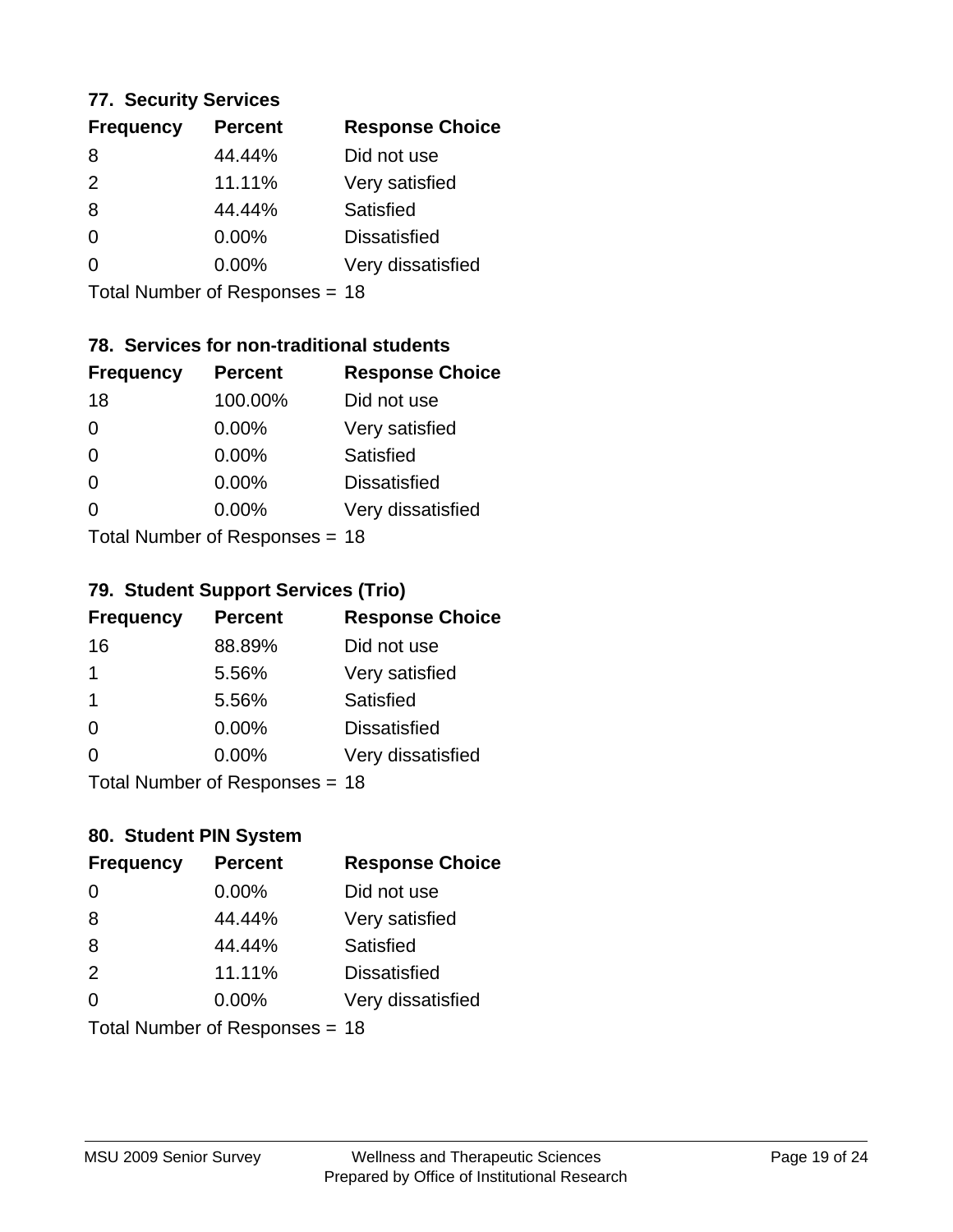### **77. Security Services**

| <b>Frequency</b> | <b>Percent</b> | <b>Response Choice</b> |
|------------------|----------------|------------------------|
| 8                | 44.44%         | Did not use            |
| $\mathcal{P}$    | 11.11%         | Very satisfied         |
| 8                | 44.44%         | Satisfied              |
| $\Omega$         | 0.00%          | <b>Dissatisfied</b>    |
| 0                | $0.00\%$       | Very dissatisfied      |
|                  |                |                        |

Total Number of Responses = 18

# **78. Services for non-traditional students**

| <b>Frequency</b> | <b>Percent</b>              | <b>Response Choice</b> |
|------------------|-----------------------------|------------------------|
| 18               | 100.00%                     | Did not use            |
| $\Omega$         | 0.00%                       | Very satisfied         |
| $\Omega$         | $0.00\%$                    | <b>Satisfied</b>       |
| $\Omega$         | 0.00%                       | <b>Dissatisfied</b>    |
| $\Omega$         | 0.00%                       | Very dissatisfied      |
|                  | Total Number of Depanonce - |                        |

Total Number of Responses = 18

# **79. Student Support Services (Trio)**

| <b>Frequency</b> | <b>Percent</b>               | <b>Response Choice</b> |
|------------------|------------------------------|------------------------|
| 16               | 88.89%                       | Did not use            |
| 1                | 5.56%                        | Very satisfied         |
| -1               | 5.56%                        | Satisfied              |
| $\Omega$         | 0.00%                        | <b>Dissatisfied</b>    |
| $\Omega$         | 0.00%                        | Very dissatisfied      |
|                  | $Total Number of Denonce 49$ |                        |

I otal Number of Responses = 18

# **80. Student PIN System**

| <b>Frequency</b> | <b>Percent</b>                 | <b>Response Choice</b> |
|------------------|--------------------------------|------------------------|
| $\Omega$         | 0.00%                          | Did not use            |
| 8                | 44.44%                         | Very satisfied         |
| 8                | 44.44%                         | Satisfied              |
| 2                | 11.11%                         | <b>Dissatisfied</b>    |
| $\Omega$         | 0.00%                          | Very dissatisfied      |
|                  | Total Number of Responses = 18 |                        |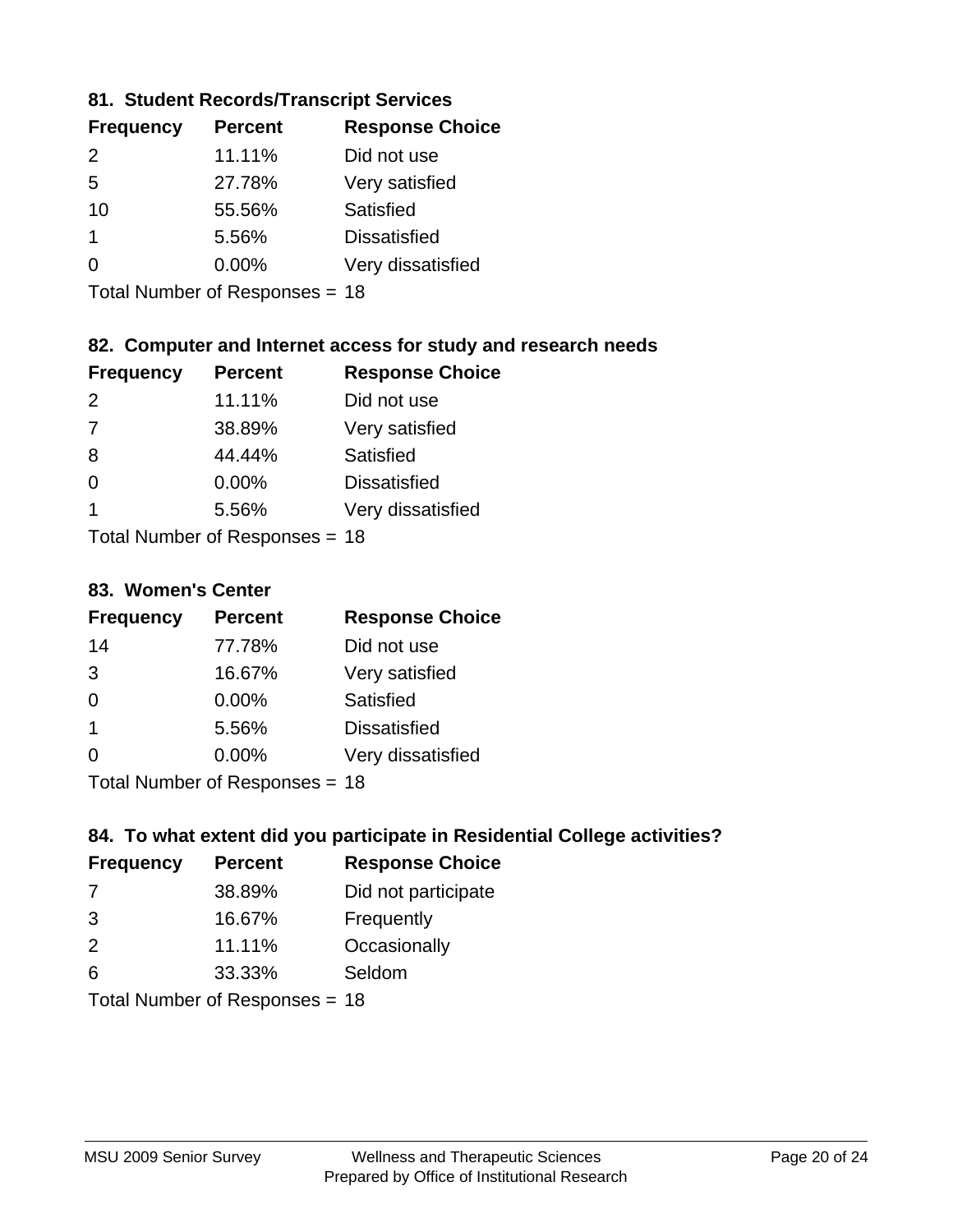# **81. Student Records/Transcript Services**

| <b>Frequency</b> | <b>Percent</b> | <b>Response Choice</b> |
|------------------|----------------|------------------------|
| $\mathcal{P}$    | 11.11%         | Did not use            |
| 5                | 27.78%         | Very satisfied         |
| 10               | 55.56%         | Satisfied              |
|                  | 5.56%          | <b>Dissatisfied</b>    |
| ∩                | $0.00\%$       | Very dissatisfied      |

Total Number of Responses = 18

# **82. Computer and Internet access for study and research needs**

| <b>Frequency</b> | <b>Percent</b>             | <b>Response Choice</b> |
|------------------|----------------------------|------------------------|
| $\mathcal{P}$    | 11.11%                     | Did not use            |
| 7                | 38.89%                     | Very satisfied         |
| 8                | 44.44%                     | <b>Satisfied</b>       |
| $\Omega$         | 0.00%                      | <b>Dissatisfied</b>    |
| 1                | 5.56%                      | Very dissatisfied      |
|                  | Tatal Number of Desperance |                        |

Total Number of Responses = 18

### **83. Women's Center**

| <b>Frequency</b> | <b>Percent</b>            | <b>Response Choice</b> |
|------------------|---------------------------|------------------------|
| 14               | 77.78%                    | Did not use            |
| 3                | 16.67%                    | Very satisfied         |
| $\Omega$         | 0.00%                     | Satisfied              |
| -1               | 5.56%                     | <b>Dissatisfied</b>    |
| $\Omega$         | 0.00%                     | Very dissatisfied      |
|                  | Total Number of Deepersee |                        |

Total Number of Responses = 18

## **84. To what extent did you participate in Residential College activities?**

| <b>Frequency</b> | <b>Percent</b>               | <b>Response Choice</b> |
|------------------|------------------------------|------------------------|
| -7               | 38.89%                       | Did not participate    |
| 3                | 16.67%                       | Frequently             |
| 2                | 11.11%                       | Occasionally           |
| 6                | 33.33%                       | Seldom                 |
|                  | $\tau$ . The state of $\sim$ |                        |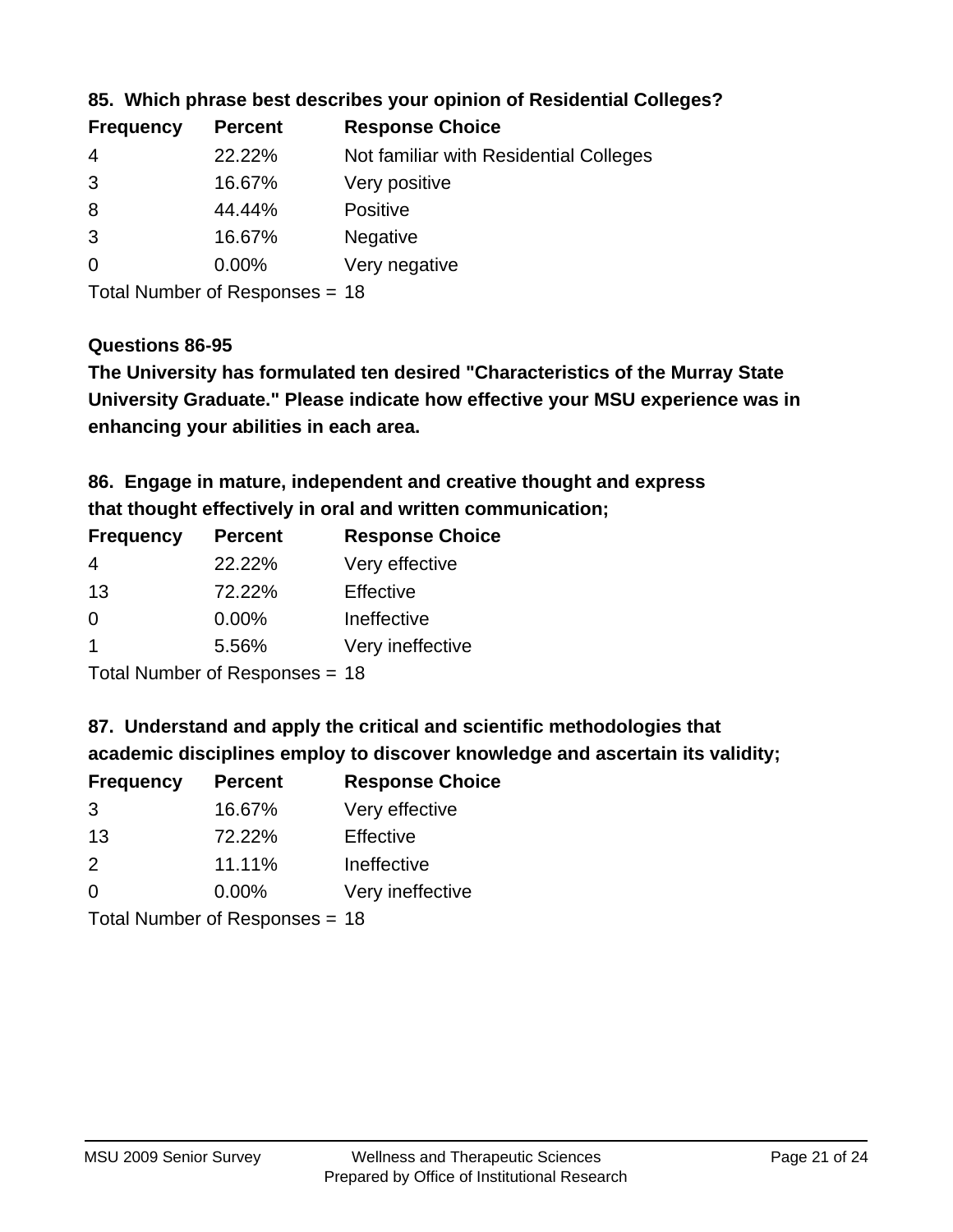| <b>Frequency</b> | <b>Percent</b> | <b>Response Choice</b>                 |
|------------------|----------------|----------------------------------------|
| -4               | 22.22%         | Not familiar with Residential Colleges |
| 3                | 16.67%         | Very positive                          |
| 8                | 44.44%         | <b>Positive</b>                        |
| 3                | 16.67%         | <b>Negative</b>                        |
| -0               | $0.00\%$       | Very negative                          |
|                  |                |                                        |

## **85. Which phrase best describes your opinion of Residential Colleges?**

Total Number of Responses = 18

### **Questions 86-95**

**University Graduate." Please indicate how effective your MSU experience was in The University has formulated ten desired "Characteristics of the Murray State enhancing your abilities in each area.**

**86. Engage in mature, independent and creative thought and express that thought effectively in oral and written communication;**

| <b>Frequency</b> | <b>Percent</b> | <b>Response Choice</b> |
|------------------|----------------|------------------------|
| 4                | 22.22%         | Very effective         |
| 13               | 72.22%         | Effective              |
| 0                | 0.00%          | Ineffective            |
|                  | 5.56%          | Very ineffective       |
|                  |                |                        |

Total Number of Responses = 18

**87. Understand and apply the critical and scientific methodologies that** 

**academic disciplines employ to discover knowledge and ascertain its validity;**

| <b>Frequency</b> | <b>Percent</b> | <b>Response Choice</b> |
|------------------|----------------|------------------------|
| 3                | 16.67%         | Very effective         |
| 13               | 72.22%         | Effective              |
| $\mathcal{P}$    | 11.11%         | Ineffective            |
| $\Omega$         | 0.00%          | Very ineffective       |
|                  |                |                        |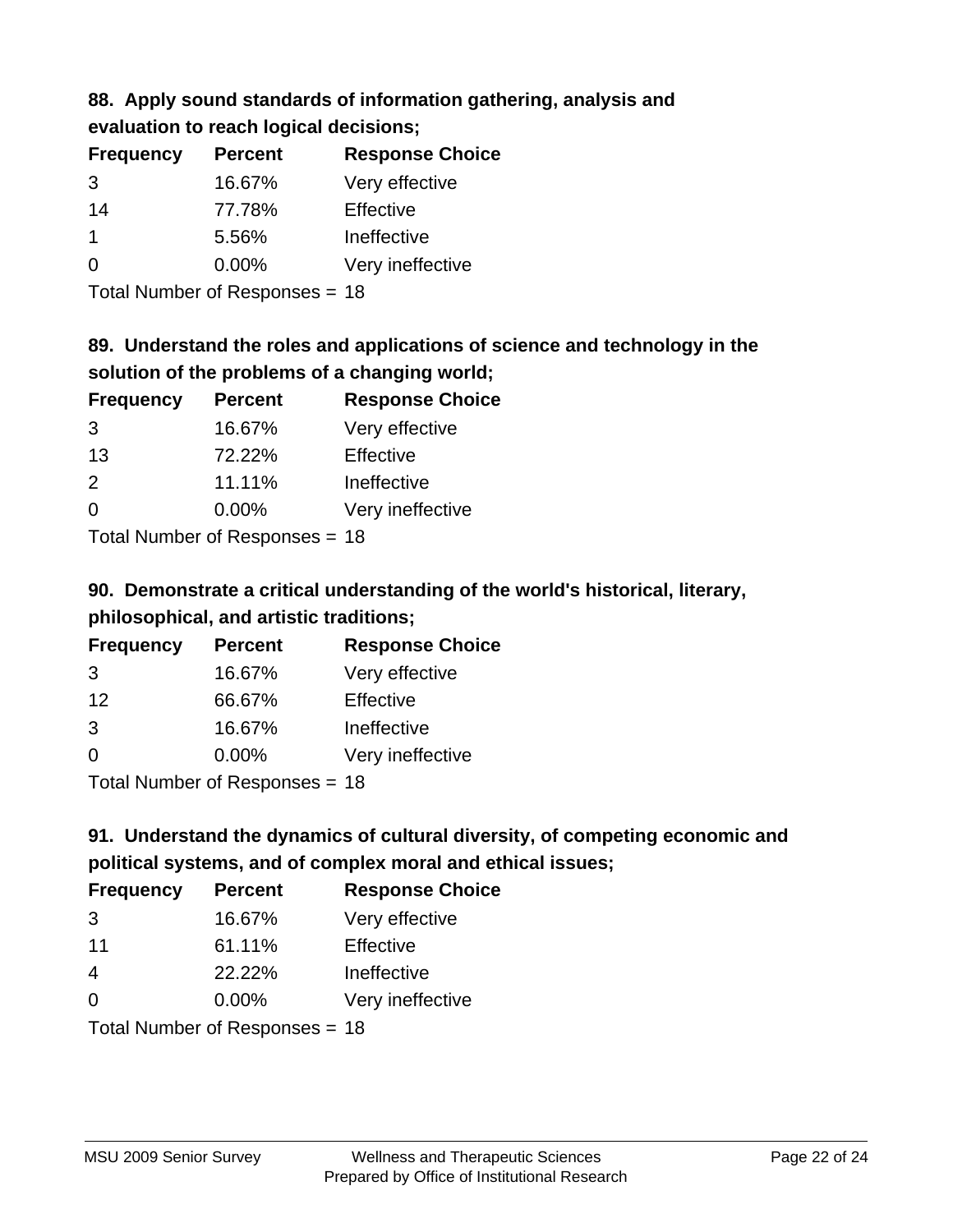# **88. Apply sound standards of information gathering, analysis and evaluation to reach logical decisions;**

| <b>Percent</b> | <b>Response Choice</b> |
|----------------|------------------------|
| 16.67%         | Very effective         |
| 77.78%         | Effective              |
| 5.56%          | Ineffective            |
| $0.00\%$       | Very ineffective       |
|                |                        |

Total Number of Responses = 18

# **89. Understand the roles and applications of science and technology in the solution of the problems of a changing world;**

| <b>Frequency</b>                         | <b>Percent</b> | <b>Response Choice</b> |
|------------------------------------------|----------------|------------------------|
| 3                                        | 16.67%         | Very effective         |
| 13                                       | 72.22%         | Effective              |
| $\mathcal{P}$                            | 11.11%         | Ineffective            |
| $\Omega$                                 | 0.00%          | Very ineffective       |
| $T$ at all Message and $D$ are a serious |                |                        |

Total Number of Responses = 18

# **90. Demonstrate a critical understanding of the world's historical, literary, philosophical, and artistic traditions;**

| <b>Frequency</b> | <b>Percent</b>                                                                                                                                                                                                                 | <b>Response Choice</b> |
|------------------|--------------------------------------------------------------------------------------------------------------------------------------------------------------------------------------------------------------------------------|------------------------|
| 3                | 16.67%                                                                                                                                                                                                                         | Very effective         |
| 12               | 66.67%                                                                                                                                                                                                                         | Effective              |
| 3                | 16.67%                                                                                                                                                                                                                         | Ineffective            |
| $\Omega$         | 0.00%                                                                                                                                                                                                                          | Very ineffective       |
|                  | The INDIAN Contract Description of the Contract of the U.S. of the U.S. of the U.S. of the U.S. of the U.S. of the U.S. of the U.S. of the U.S. of the U.S. of the U.S. of the U.S. of the U.S. of the U.S. of the U.S. of the |                        |

Total Number of Responses = 18

# **91. Understand the dynamics of cultural diversity, of competing economic and political systems, and of complex moral and ethical issues;**

| <b>Frequency</b>               | <b>Percent</b> | <b>Response Choice</b> |
|--------------------------------|----------------|------------------------|
| 3                              | 16.67%         | Very effective         |
| 11                             | 61.11%         | Effective              |
| $\overline{4}$                 | 22.22%         | Ineffective            |
| $\Omega$                       | $0.00\%$       | Very ineffective       |
| Total Number of Responses = 18 |                |                        |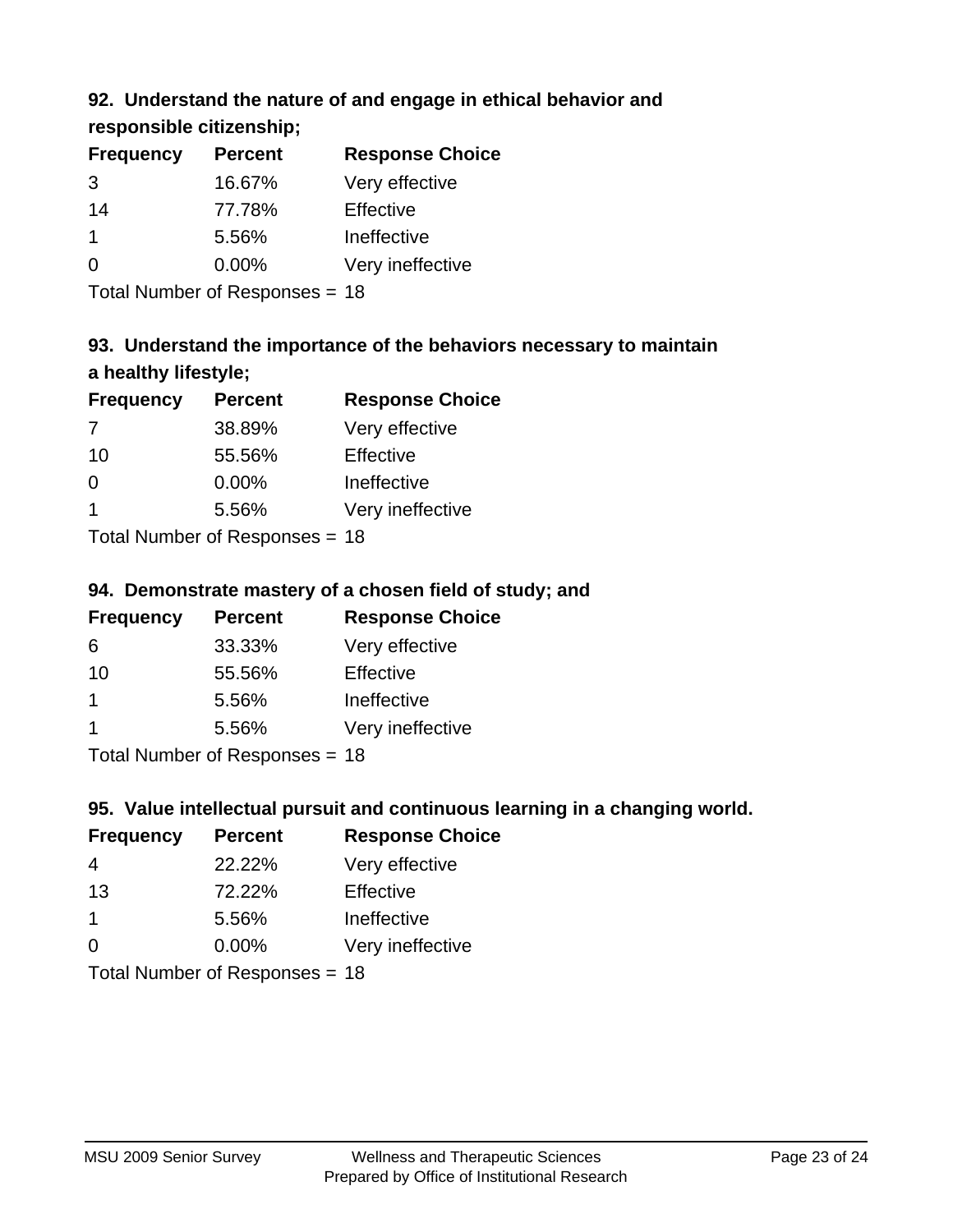# **92. Understand the nature of and engage in ethical behavior and**

**responsible citizenship;**

| <b>Frequency</b> | <b>Percent</b> | <b>Response Choice</b> |
|------------------|----------------|------------------------|
| 3                | 16.67%         | Very effective         |
| 14               | 77.78%         | Effective              |
|                  | 5.56%          | Ineffective            |
| $\Omega$         | $0.00\%$       | Very ineffective       |
|                  |                |                        |

Total Number of Responses = 18

# **93. Understand the importance of the behaviors necessary to maintain a healthy lifestyle;**

| <b>Frequency</b>             | <b>Percent</b> | <b>Response Choice</b> |
|------------------------------|----------------|------------------------|
| 7                            | 38.89%         | Very effective         |
| 10                           | 55.56%         | Effective              |
| $\Omega$                     | 0.00%          | Ineffective            |
|                              | 5.56%          | Very ineffective       |
| Tatal Manuel and Davis and a |                |                        |

Total Number of Responses = 18

# **94. Demonstrate mastery of a chosen field of study; and**

| <b>Frequency</b> | <b>Percent</b> | <b>Response Choice</b> |
|------------------|----------------|------------------------|
| 6                | 33.33%         | Very effective         |
| 10               | 55.56%         | Effective              |
|                  | 5.56%          | Ineffective            |
|                  | 5.56%          | Very ineffective       |
|                  |                |                        |

Total Number of Responses = 18

# **95. Value intellectual pursuit and continuous learning in a changing world.**

| <b>Frequency</b> | <b>Percent</b>                                                                                                                                                                                                                 | <b>Response Choice</b> |
|------------------|--------------------------------------------------------------------------------------------------------------------------------------------------------------------------------------------------------------------------------|------------------------|
| 4                | 22.22%                                                                                                                                                                                                                         | Very effective         |
| 13               | 72.22%                                                                                                                                                                                                                         | Effective              |
| 1                | 5.56%                                                                                                                                                                                                                          | Ineffective            |
| $\Omega$         | 0.00%                                                                                                                                                                                                                          | Very ineffective       |
|                  | The Little and the Little Communist Communist Communist Communist Communist Communist Communist Communist Communist Communist Communist Communist Communist Communist Communist Communist Communist Communist Communist Commun |                        |